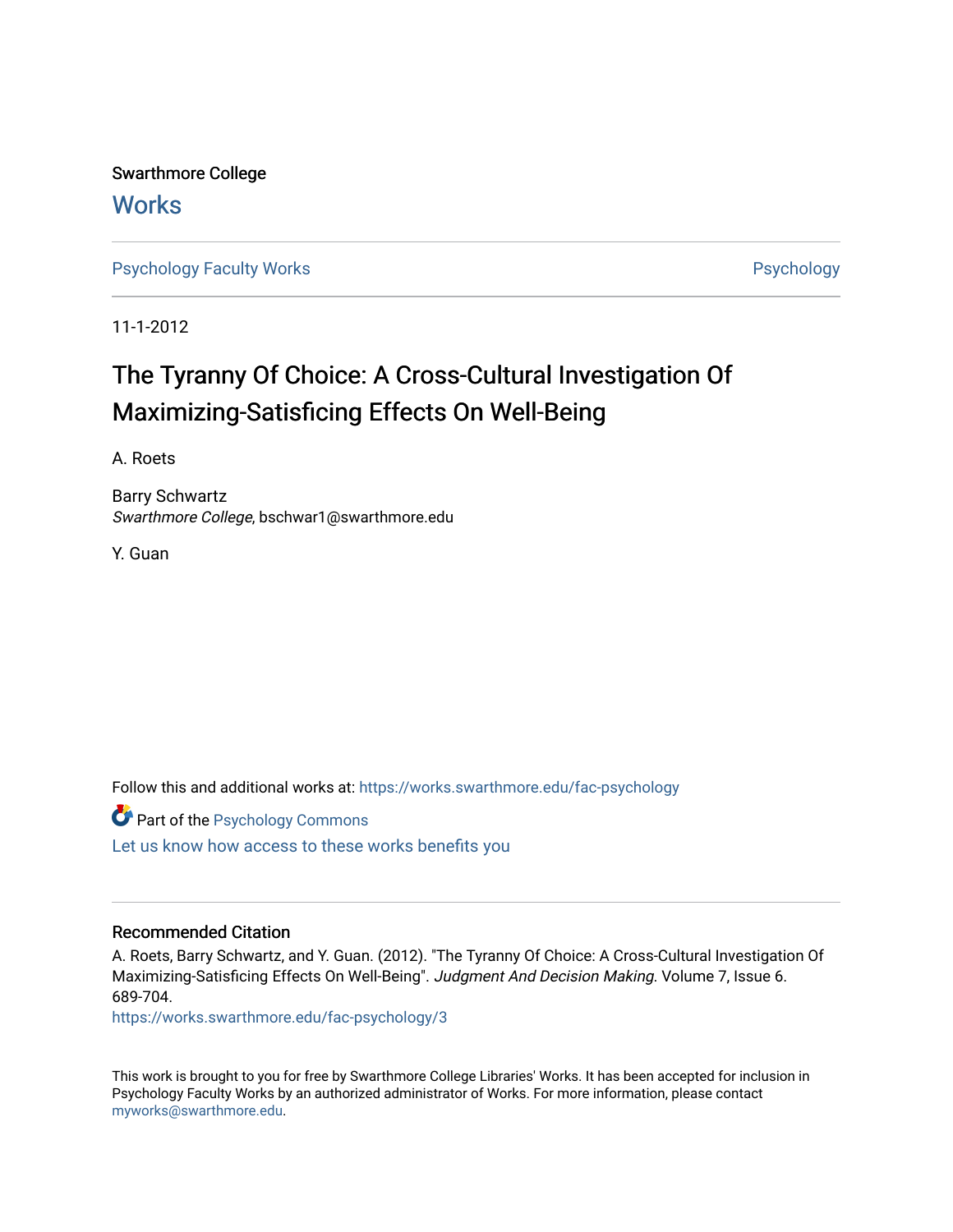Swarthmore College **Works** 

[Psychology Faculty Works](https://works.swarthmore.edu/fac-psychology) **Psychology** 

11-1-2012

# The Tyranny Of Choice: A Cross-Cultural Investigation Of Maximizing-Satisficing Effects On Well-Being

A. Roets

Barry Schwartz Swarthmore College, bschwar1@swarthmore.edu

Y. Guan

Follow this and additional works at: [https://works.swarthmore.edu/fac-psychology](https://works.swarthmore.edu/fac-psychology?utm_source=works.swarthmore.edu%2Ffac-psychology%2F3&utm_medium=PDF&utm_campaign=PDFCoverPages) 

**Part of the Psychology Commons** 

[Let us know how access to these works benefits you](https://forms.gle/4MB8mE2GywC5965J8) 

#### Recommended Citation

A. Roets, Barry Schwartz, and Y. Guan. (2012). "The Tyranny Of Choice: A Cross-Cultural Investigation Of Maximizing-Satisficing Effects On Well-Being". Judgment And Decision Making. Volume 7, Issue 6. 689-704.

<https://works.swarthmore.edu/fac-psychology/3>

This work is brought to you for free by Swarthmore College Libraries' Works. It has been accepted for inclusion in Psychology Faculty Works by an authorized administrator of Works. For more information, please contact [myworks@swarthmore.edu.](mailto:myworks@swarthmore.edu)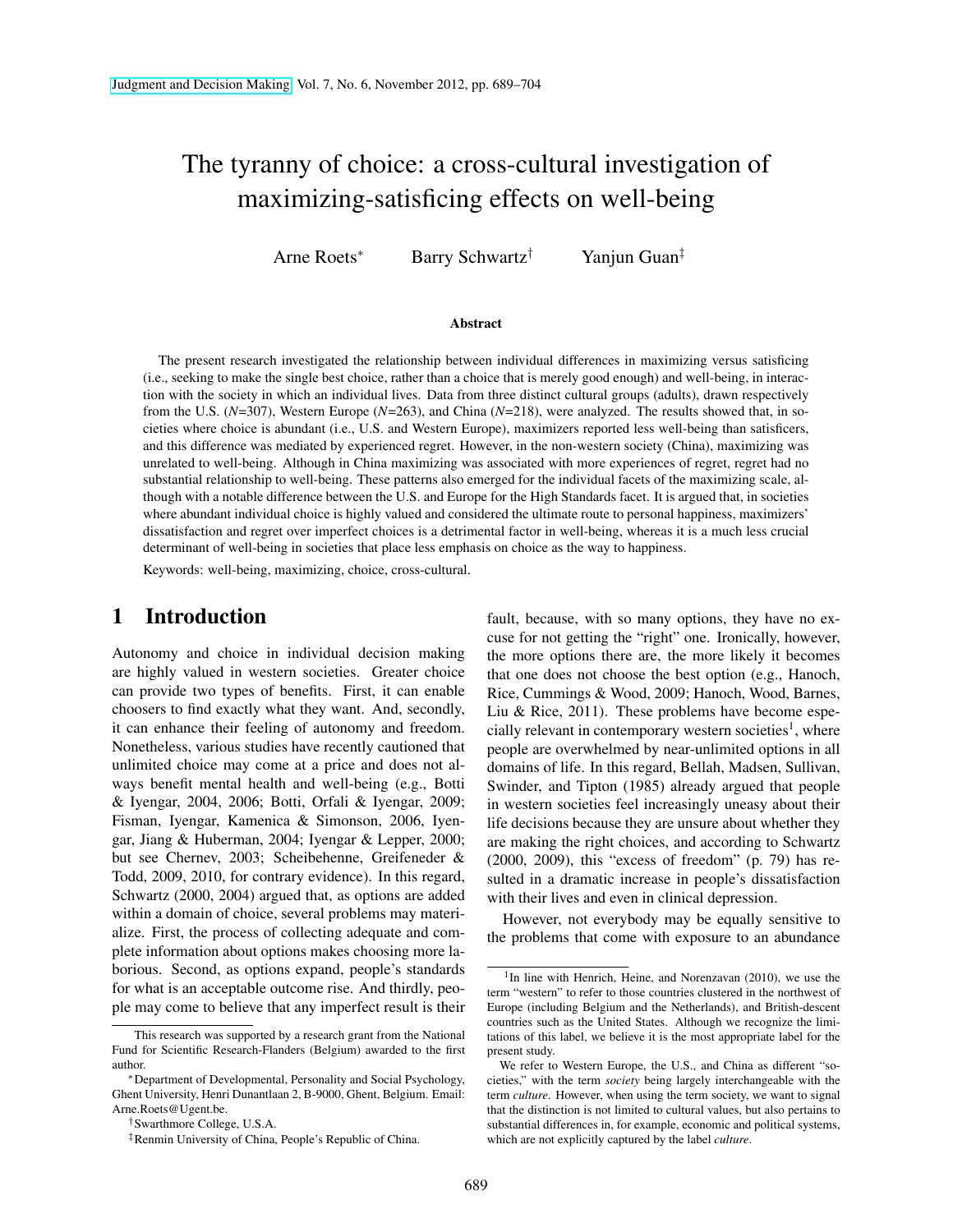# The tyranny of choice: a cross-cultural investigation of maximizing-satisficing effects on well-being

Arne Roets<sup>∗</sup> Barry Schwartz† Yanjun Guan‡

#### Abstract

The present research investigated the relationship between individual differences in maximizing versus satisficing (i.e., seeking to make the single best choice, rather than a choice that is merely good enough) and well-being, in interaction with the society in which an individual lives. Data from three distinct cultural groups (adults), drawn respectively from the U.S. (*N*=307), Western Europe (*N*=263), and China (*N*=218), were analyzed. The results showed that, in societies where choice is abundant (i.e., U.S. and Western Europe), maximizers reported less well-being than satisficers, and this difference was mediated by experienced regret. However, in the non-western society (China), maximizing was unrelated to well-being. Although in China maximizing was associated with more experiences of regret, regret had no substantial relationship to well-being. These patterns also emerged for the individual facets of the maximizing scale, although with a notable difference between the U.S. and Europe for the High Standards facet. It is argued that, in societies where abundant individual choice is highly valued and considered the ultimate route to personal happiness, maximizers' dissatisfaction and regret over imperfect choices is a detrimental factor in well-being, whereas it is a much less crucial determinant of well-being in societies that place less emphasis on choice as the way to happiness.

Keywords: well-being, maximizing, choice, cross-cultural.

### 1 Introduction

Autonomy and choice in individual decision making are highly valued in western societies. Greater choice can provide two types of benefits. First, it can enable choosers to find exactly what they want. And, secondly, it can enhance their feeling of autonomy and freedom. Nonetheless, various studies have recently cautioned that unlimited choice may come at a price and does not always benefit mental health and well-being (e.g., Botti & Iyengar, 2004, 2006; Botti, Orfali & Iyengar, 2009; Fisman, Iyengar, Kamenica & Simonson, 2006, Iyengar, Jiang & Huberman, 2004; Iyengar & Lepper, 2000; but see Chernev, 2003; Scheibehenne, Greifeneder & Todd, 2009, 2010, for contrary evidence). In this regard, Schwartz (2000, 2004) argued that, as options are added within a domain of choice, several problems may materialize. First, the process of collecting adequate and complete information about options makes choosing more laborious. Second, as options expand, people's standards for what is an acceptable outcome rise. And thirdly, people may come to believe that any imperfect result is their fault, because, with so many options, they have no excuse for not getting the "right" one. Ironically, however, the more options there are, the more likely it becomes that one does not choose the best option (e.g., Hanoch, Rice, Cummings & Wood, 2009; Hanoch, Wood, Barnes, Liu & Rice, 2011). These problems have become especially relevant in contemporary western societies<sup>1</sup>, where people are overwhelmed by near-unlimited options in all domains of life. In this regard, Bellah, Madsen, Sullivan, Swinder, and Tipton (1985) already argued that people in western societies feel increasingly uneasy about their life decisions because they are unsure about whether they are making the right choices, and according to Schwartz (2000, 2009), this "excess of freedom" (p. 79) has resulted in a dramatic increase in people's dissatisfaction with their lives and even in clinical depression.

However, not everybody may be equally sensitive to the problems that come with exposure to an abundance

This research was supported by a research grant from the National Fund for Scientific Research-Flanders (Belgium) awarded to the first author.

<sup>∗</sup>Department of Developmental, Personality and Social Psychology, Ghent University, Henri Dunantlaan 2, B-9000, Ghent, Belgium. Email: Arne.Roets@Ugent.be.

<sup>†</sup>Swarthmore College, U.S.A.

<sup>‡</sup>Renmin University of China, People's Republic of China.

<sup>&</sup>lt;sup>1</sup>In line with Henrich, Heine, and Norenzavan (2010), we use the term "western" to refer to those countries clustered in the northwest of Europe (including Belgium and the Netherlands), and British-descent countries such as the United States. Although we recognize the limitations of this label, we believe it is the most appropriate label for the present study.

We refer to Western Europe, the U.S., and China as different "societies," with the term *society* being largely interchangeable with the term *culture*. However, when using the term society, we want to signal that the distinction is not limited to cultural values, but also pertains to substantial differences in, for example, economic and political systems, which are not explicitly captured by the label *culture*.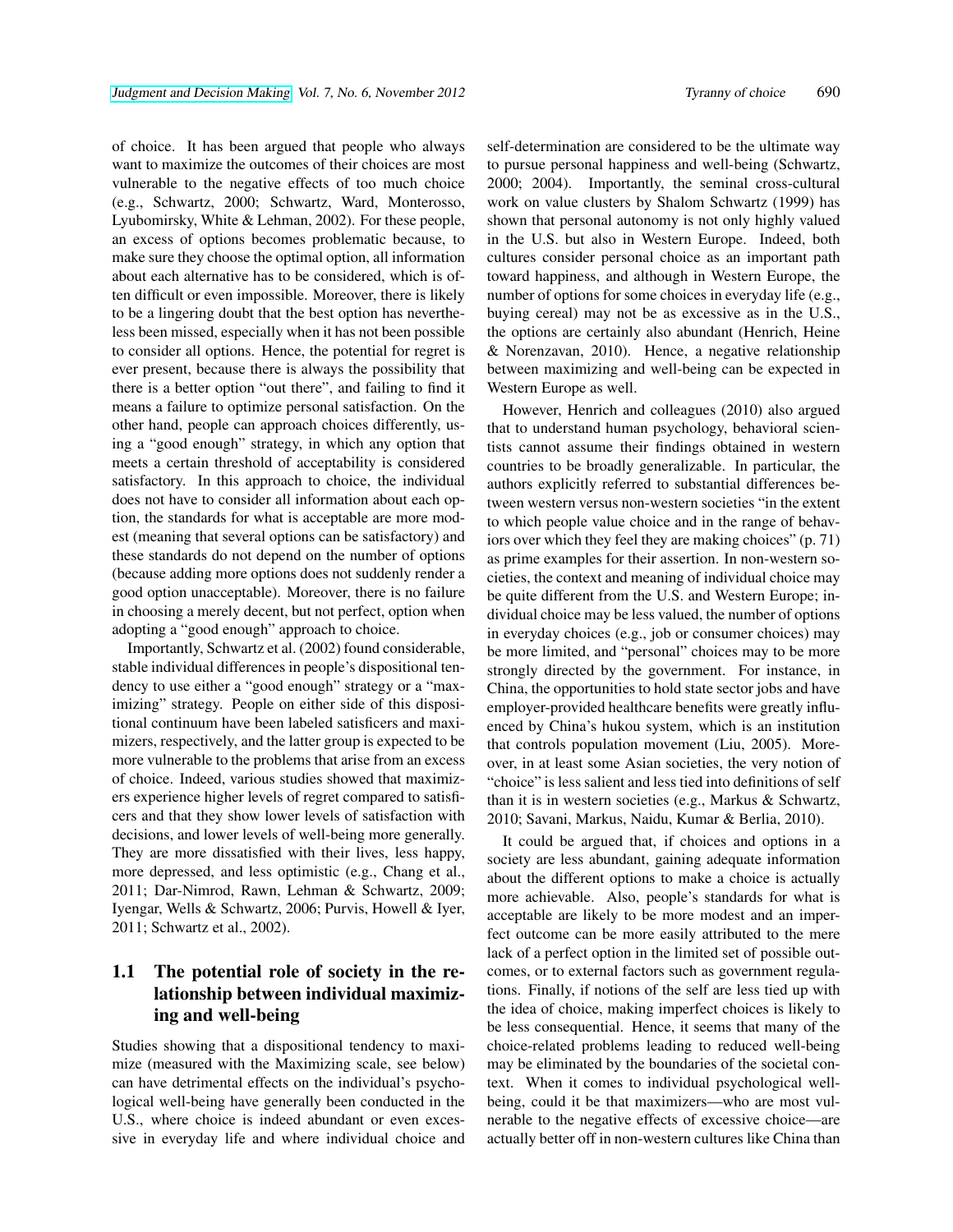of choice. It has been argued that people who always want to maximize the outcomes of their choices are most vulnerable to the negative effects of too much choice (e.g., Schwartz, 2000; Schwartz, Ward, Monterosso, Lyubomirsky, White & Lehman, 2002). For these people, an excess of options becomes problematic because, to make sure they choose the optimal option, all information about each alternative has to be considered, which is often difficult or even impossible. Moreover, there is likely to be a lingering doubt that the best option has nevertheless been missed, especially when it has not been possible to consider all options. Hence, the potential for regret is ever present, because there is always the possibility that there is a better option "out there", and failing to find it means a failure to optimize personal satisfaction. On the other hand, people can approach choices differently, using a "good enough" strategy, in which any option that meets a certain threshold of acceptability is considered satisfactory. In this approach to choice, the individual does not have to consider all information about each option, the standards for what is acceptable are more modest (meaning that several options can be satisfactory) and these standards do not depend on the number of options (because adding more options does not suddenly render a good option unacceptable). Moreover, there is no failure in choosing a merely decent, but not perfect, option when adopting a "good enough" approach to choice.

Importantly, Schwartz et al. (2002) found considerable, stable individual differences in people's dispositional tendency to use either a "good enough" strategy or a "maximizing" strategy. People on either side of this dispositional continuum have been labeled satisficers and maximizers, respectively, and the latter group is expected to be more vulnerable to the problems that arise from an excess of choice. Indeed, various studies showed that maximizers experience higher levels of regret compared to satisficers and that they show lower levels of satisfaction with decisions, and lower levels of well-being more generally. They are more dissatisfied with their lives, less happy, more depressed, and less optimistic (e.g., Chang et al., 2011; Dar-Nimrod, Rawn, Lehman & Schwartz, 2009; Iyengar, Wells & Schwartz, 2006; Purvis, Howell & Iyer, 2011; Schwartz et al., 2002).

#### 1.1 The potential role of society in the relationship between individual maximizing and well-being

Studies showing that a dispositional tendency to maximize (measured with the Maximizing scale, see below) can have detrimental effects on the individual's psychological well-being have generally been conducted in the U.S., where choice is indeed abundant or even excessive in everyday life and where individual choice and self-determination are considered to be the ultimate way to pursue personal happiness and well-being (Schwartz, 2000; 2004). Importantly, the seminal cross-cultural work on value clusters by Shalom Schwartz (1999) has shown that personal autonomy is not only highly valued in the U.S. but also in Western Europe. Indeed, both cultures consider personal choice as an important path toward happiness, and although in Western Europe, the number of options for some choices in everyday life (e.g., buying cereal) may not be as excessive as in the U.S., the options are certainly also abundant (Henrich, Heine & Norenzavan, 2010). Hence, a negative relationship between maximizing and well-being can be expected in Western Europe as well.

However, Henrich and colleagues (2010) also argued that to understand human psychology, behavioral scientists cannot assume their findings obtained in western countries to be broadly generalizable. In particular, the authors explicitly referred to substantial differences between western versus non-western societies "in the extent to which people value choice and in the range of behaviors over which they feel they are making choices" (p. 71) as prime examples for their assertion. In non-western societies, the context and meaning of individual choice may be quite different from the U.S. and Western Europe; individual choice may be less valued, the number of options in everyday choices (e.g., job or consumer choices) may be more limited, and "personal" choices may to be more strongly directed by the government. For instance, in China, the opportunities to hold state sector jobs and have employer-provided healthcare benefits were greatly influenced by China's hukou system, which is an institution that controls population movement (Liu, 2005). Moreover, in at least some Asian societies, the very notion of "choice" is less salient and less tied into definitions of self than it is in western societies (e.g., Markus & Schwartz, 2010; Savani, Markus, Naidu, Kumar & Berlia, 2010).

It could be argued that, if choices and options in a society are less abundant, gaining adequate information about the different options to make a choice is actually more achievable. Also, people's standards for what is acceptable are likely to be more modest and an imperfect outcome can be more easily attributed to the mere lack of a perfect option in the limited set of possible outcomes, or to external factors such as government regulations. Finally, if notions of the self are less tied up with the idea of choice, making imperfect choices is likely to be less consequential. Hence, it seems that many of the choice-related problems leading to reduced well-being may be eliminated by the boundaries of the societal context. When it comes to individual psychological wellbeing, could it be that maximizers—who are most vulnerable to the negative effects of excessive choice—are actually better off in non-western cultures like China than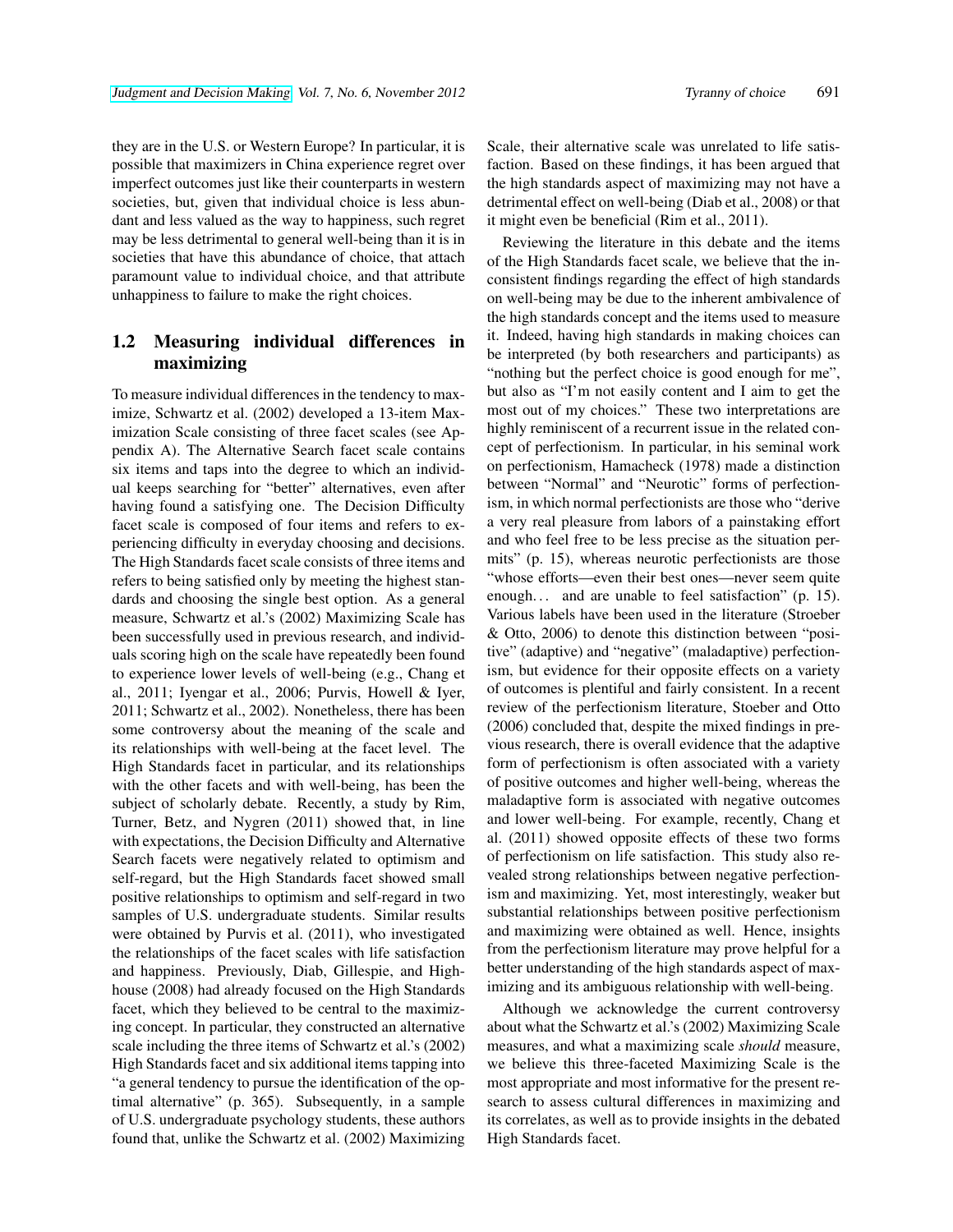they are in the U.S. or Western Europe? In particular, it is possible that maximizers in China experience regret over imperfect outcomes just like their counterparts in western societies, but, given that individual choice is less abundant and less valued as the way to happiness, such regret may be less detrimental to general well-being than it is in societies that have this abundance of choice, that attach paramount value to individual choice, and that attribute unhappiness to failure to make the right choices.

## 1.2 Measuring individual differences in maximizing

To measure individual differences in the tendency to maximize, Schwartz et al. (2002) developed a 13-item Maximization Scale consisting of three facet scales (see Appendix A). The Alternative Search facet scale contains six items and taps into the degree to which an individual keeps searching for "better" alternatives, even after having found a satisfying one. The Decision Difficulty facet scale is composed of four items and refers to experiencing difficulty in everyday choosing and decisions. The High Standards facet scale consists of three items and refers to being satisfied only by meeting the highest standards and choosing the single best option. As a general measure, Schwartz et al.'s (2002) Maximizing Scale has been successfully used in previous research, and individuals scoring high on the scale have repeatedly been found to experience lower levels of well-being (e.g., Chang et al., 2011; Iyengar et al., 2006; Purvis, Howell & Iyer, 2011; Schwartz et al., 2002). Nonetheless, there has been some controversy about the meaning of the scale and its relationships with well-being at the facet level. The High Standards facet in particular, and its relationships with the other facets and with well-being, has been the subject of scholarly debate. Recently, a study by Rim, Turner, Betz, and Nygren (2011) showed that, in line with expectations, the Decision Difficulty and Alternative Search facets were negatively related to optimism and self-regard, but the High Standards facet showed small positive relationships to optimism and self-regard in two samples of U.S. undergraduate students. Similar results were obtained by Purvis et al. (2011), who investigated the relationships of the facet scales with life satisfaction and happiness. Previously, Diab, Gillespie, and Highhouse (2008) had already focused on the High Standards facet, which they believed to be central to the maximizing concept. In particular, they constructed an alternative scale including the three items of Schwartz et al.'s (2002) High Standards facet and six additional items tapping into "a general tendency to pursue the identification of the optimal alternative" (p. 365). Subsequently, in a sample of U.S. undergraduate psychology students, these authors found that, unlike the Schwartz et al. (2002) Maximizing

Scale, their alternative scale was unrelated to life satisfaction. Based on these findings, it has been argued that the high standards aspect of maximizing may not have a detrimental effect on well-being (Diab et al., 2008) or that it might even be beneficial (Rim et al., 2011).

Reviewing the literature in this debate and the items of the High Standards facet scale, we believe that the inconsistent findings regarding the effect of high standards on well-being may be due to the inherent ambivalence of the high standards concept and the items used to measure it. Indeed, having high standards in making choices can be interpreted (by both researchers and participants) as "nothing but the perfect choice is good enough for me", but also as "I'm not easily content and I aim to get the most out of my choices." These two interpretations are highly reminiscent of a recurrent issue in the related concept of perfectionism. In particular, in his seminal work on perfectionism, Hamacheck (1978) made a distinction between "Normal" and "Neurotic" forms of perfectionism, in which normal perfectionists are those who "derive a very real pleasure from labors of a painstaking effort and who feel free to be less precise as the situation permits" (p. 15), whereas neurotic perfectionists are those "whose efforts—even their best ones—never seem quite enough... and are unable to feel satisfaction" (p. 15). Various labels have been used in the literature (Stroeber & Otto, 2006) to denote this distinction between "positive" (adaptive) and "negative" (maladaptive) perfectionism, but evidence for their opposite effects on a variety of outcomes is plentiful and fairly consistent. In a recent review of the perfectionism literature, Stoeber and Otto (2006) concluded that, despite the mixed findings in previous research, there is overall evidence that the adaptive form of perfectionism is often associated with a variety of positive outcomes and higher well-being, whereas the maladaptive form is associated with negative outcomes and lower well-being. For example, recently, Chang et al. (2011) showed opposite effects of these two forms of perfectionism on life satisfaction. This study also revealed strong relationships between negative perfectionism and maximizing. Yet, most interestingly, weaker but substantial relationships between positive perfectionism and maximizing were obtained as well. Hence, insights from the perfectionism literature may prove helpful for a better understanding of the high standards aspect of maximizing and its ambiguous relationship with well-being.

Although we acknowledge the current controversy about what the Schwartz et al.'s (2002) Maximizing Scale measures, and what a maximizing scale *should* measure, we believe this three-faceted Maximizing Scale is the most appropriate and most informative for the present research to assess cultural differences in maximizing and its correlates, as well as to provide insights in the debated High Standards facet.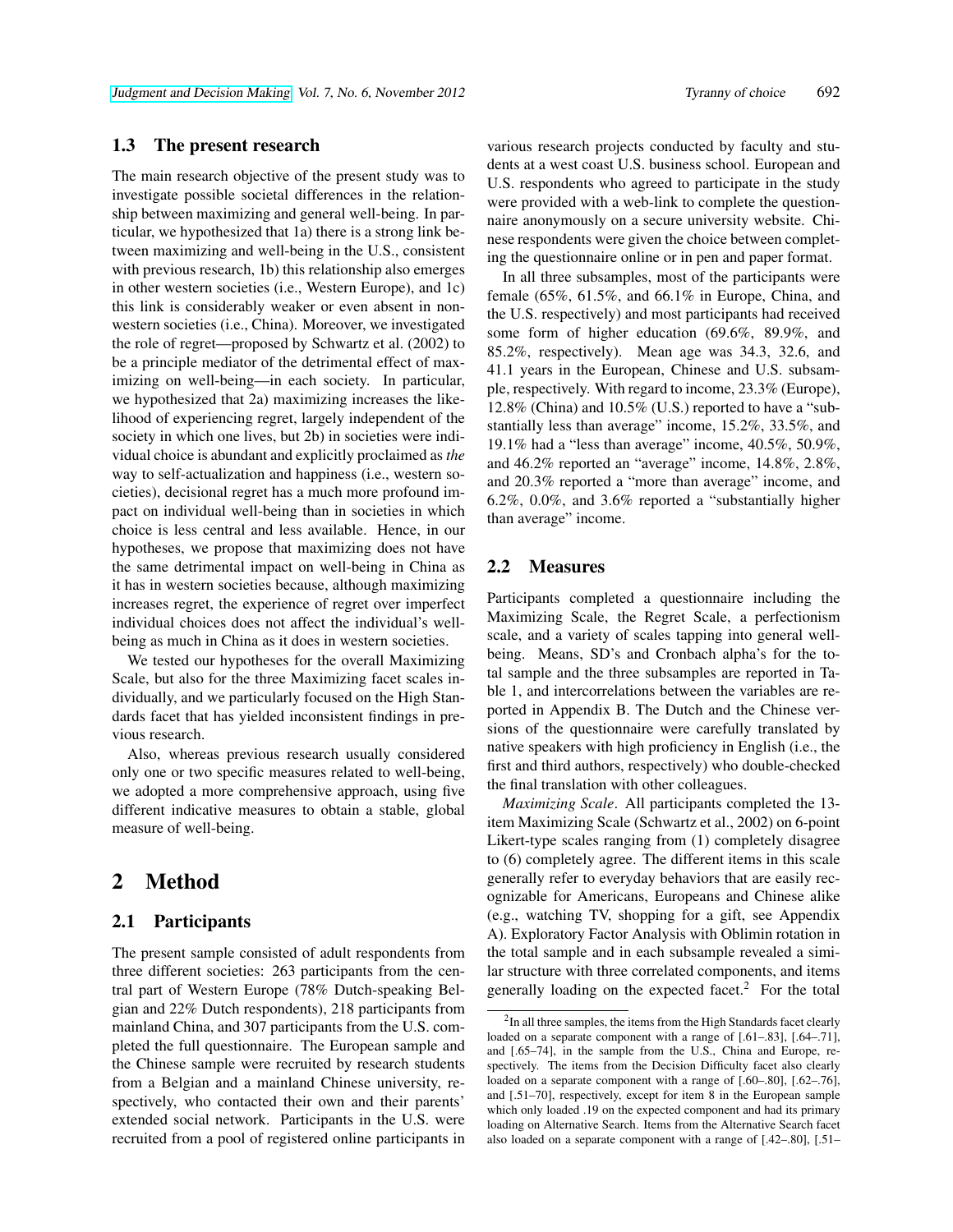#### 1.3 The present research

The main research objective of the present study was to investigate possible societal differences in the relationship between maximizing and general well-being. In particular, we hypothesized that 1a) there is a strong link between maximizing and well-being in the U.S., consistent with previous research, 1b) this relationship also emerges in other western societies (i.e., Western Europe), and 1c) this link is considerably weaker or even absent in nonwestern societies (i.e., China). Moreover, we investigated the role of regret—proposed by Schwartz et al. (2002) to be a principle mediator of the detrimental effect of maximizing on well-being—in each society. In particular, we hypothesized that 2a) maximizing increases the likelihood of experiencing regret, largely independent of the society in which one lives, but 2b) in societies were individual choice is abundant and explicitly proclaimed as *the* way to self-actualization and happiness (i.e., western societies), decisional regret has a much more profound impact on individual well-being than in societies in which choice is less central and less available. Hence, in our hypotheses, we propose that maximizing does not have the same detrimental impact on well-being in China as it has in western societies because, although maximizing increases regret, the experience of regret over imperfect individual choices does not affect the individual's wellbeing as much in China as it does in western societies.

We tested our hypotheses for the overall Maximizing Scale, but also for the three Maximizing facet scales individually, and we particularly focused on the High Standards facet that has yielded inconsistent findings in previous research.

Also, whereas previous research usually considered only one or two specific measures related to well-being, we adopted a more comprehensive approach, using five different indicative measures to obtain a stable, global measure of well-being.

## 2 Method

#### 2.1 Participants

The present sample consisted of adult respondents from three different societies: 263 participants from the central part of Western Europe (78% Dutch-speaking Belgian and 22% Dutch respondents), 218 participants from mainland China, and 307 participants from the U.S. completed the full questionnaire. The European sample and the Chinese sample were recruited by research students from a Belgian and a mainland Chinese university, respectively, who contacted their own and their parents' extended social network. Participants in the U.S. were recruited from a pool of registered online participants in

various research projects conducted by faculty and students at a west coast U.S. business school. European and U.S. respondents who agreed to participate in the study were provided with a web-link to complete the questionnaire anonymously on a secure university website. Chinese respondents were given the choice between completing the questionnaire online or in pen and paper format.

In all three subsamples, most of the participants were female (65%, 61.5%, and 66.1% in Europe, China, and the U.S. respectively) and most participants had received some form of higher education (69.6%, 89.9%, and 85.2%, respectively). Mean age was 34.3, 32.6, and 41.1 years in the European, Chinese and U.S. subsample, respectively. With regard to income, 23.3% (Europe), 12.8% (China) and 10.5% (U.S.) reported to have a "substantially less than average" income, 15.2%, 33.5%, and 19.1% had a "less than average" income, 40.5%, 50.9%, and 46.2% reported an "average" income, 14.8%, 2.8%, and 20.3% reported a "more than average" income, and 6.2%, 0.0%, and 3.6% reported a "substantially higher than average" income.

#### 2.2 Measures

Participants completed a questionnaire including the Maximizing Scale, the Regret Scale, a perfectionism scale, and a variety of scales tapping into general wellbeing. Means, SD's and Cronbach alpha's for the total sample and the three subsamples are reported in Table 1, and intercorrelations between the variables are reported in Appendix B. The Dutch and the Chinese versions of the questionnaire were carefully translated by native speakers with high proficiency in English (i.e., the first and third authors, respectively) who double-checked the final translation with other colleagues.

*Maximizing Scale*. All participants completed the 13 item Maximizing Scale (Schwartz et al., 2002) on 6-point Likert-type scales ranging from (1) completely disagree to (6) completely agree. The different items in this scale generally refer to everyday behaviors that are easily recognizable for Americans, Europeans and Chinese alike (e.g., watching TV, shopping for a gift, see Appendix A). Exploratory Factor Analysis with Oblimin rotation in the total sample and in each subsample revealed a similar structure with three correlated components, and items generally loading on the expected facet.<sup>2</sup> For the total

 $2$ In all three samples, the items from the High Standards facet clearly loaded on a separate component with a range of [.61–.83], [.64–.71], and [.65–74], in the sample from the U.S., China and Europe, respectively. The items from the Decision Difficulty facet also clearly loaded on a separate component with a range of  $[0.60-0.80]$ ,  $[0.62-0.76]$ , and [.51–70], respectively, except for item 8 in the European sample which only loaded .19 on the expected component and had its primary loading on Alternative Search. Items from the Alternative Search facet also loaded on a separate component with a range of [.42–.80], [.51–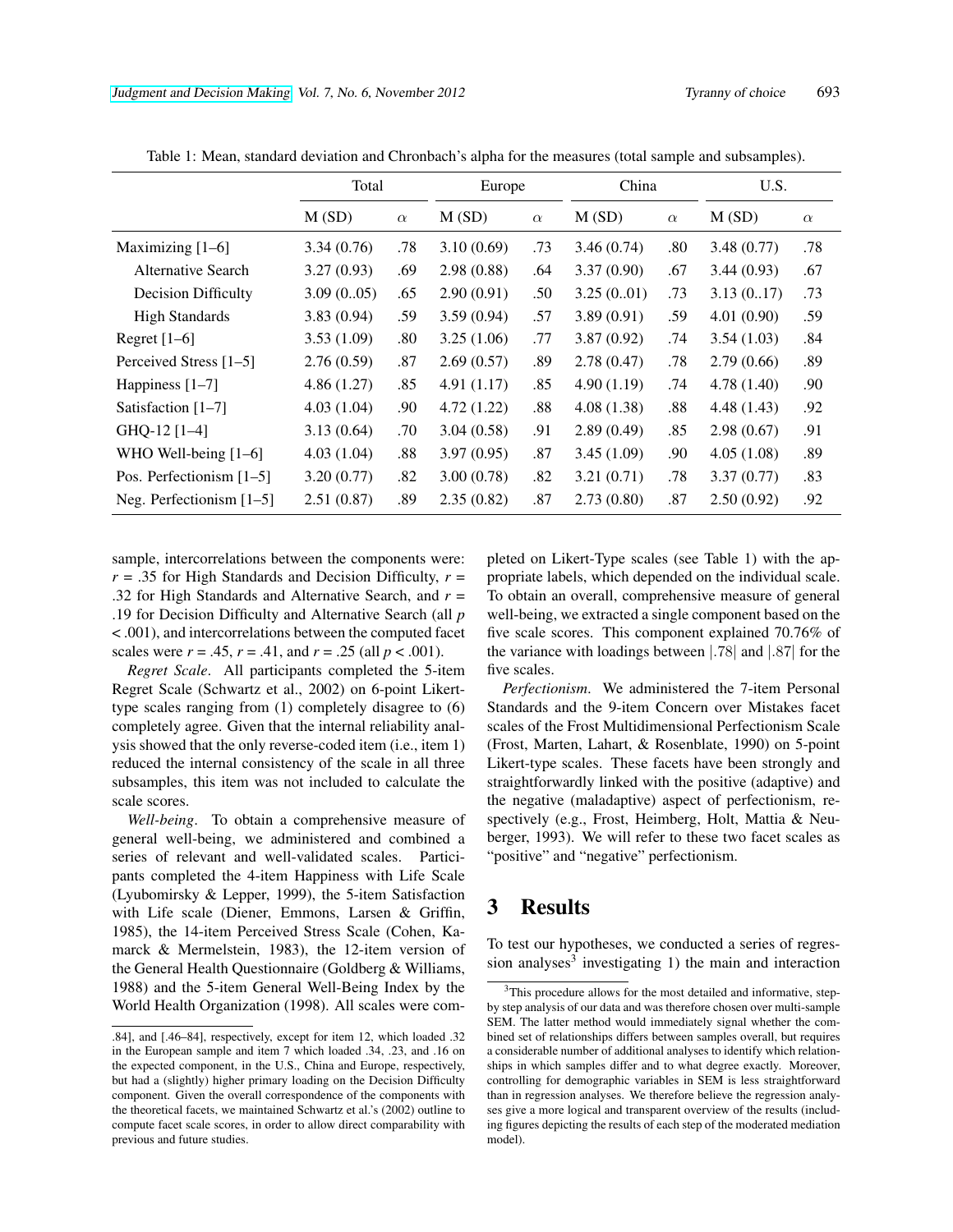|                            | Total      |          |            | Europe   |            | China    | U.S.       |          |
|----------------------------|------------|----------|------------|----------|------------|----------|------------|----------|
|                            | M(SD)      | $\alpha$ | M(SD)      | $\alpha$ | M(SD)      | $\alpha$ | M(SD)      | $\alpha$ |
| Maximizing $[1-6]$         | 3.34(0.76) | .78      | 3.10(0.69) | .73      | 3.46(0.74) | .80      | 3.48(0.77) | .78      |
| <b>Alternative Search</b>  | 3.27(0.93) | .69      | 2.98(0.88) | .64      | 3.37(0.90) | .67      | 3.44(0.93) | .67      |
| <b>Decision Difficulty</b> | 3.09(0.05) | .65      | 2.90(0.91) | .50      | 3.25(0.01) | .73      | 3.13(0.17) | .73      |
| <b>High Standards</b>      | 3.83(0.94) | .59      | 3.59(0.94) | .57      | 3.89(0.91) | .59      | 4.01(0.90) | .59      |
| Regret $[1-6]$             | 3.53(1.09) | .80      | 3.25(1.06) | .77      | 3.87(0.92) | .74      | 3.54(1.03) | .84      |
| Perceived Stress [1–5]     | 2.76(0.59) | .87      | 2.69(0.57) | .89      | 2.78(0.47) | .78      | 2.79(0.66) | .89      |
| Happiness $[1-7]$          | 4.86(1.27) | .85      | 4.91(1.17) | .85      | 4.90(1.19) | .74      | 4.78(1.40) | .90      |
| Satisfaction [1-7]         | 4.03(1.04) | .90      | 4.72(1.22) | .88      | 4.08(1.38) | .88      | 4.48(1.43) | .92      |
| GHQ-12 [1-4]               | 3.13(0.64) | .70      | 3.04(0.58) | .91      | 2.89(0.49) | .85      | 2.98(0.67) | .91      |
| WHO Well-being $[1-6]$     | 4.03(1.04) | .88      | 3.97(0.95) | .87      | 3.45(1.09) | .90      | 4.05(1.08) | .89      |
| Pos. Perfectionism $[1-5]$ | 3.20(0.77) | .82      | 3.00(0.78) | .82      | 3.21(0.71) | .78      | 3.37(0.77) | .83      |
| Neg. Perfectionism $[1-5]$ | 2.51(0.87) | .89      | 2.35(0.82) | .87      | 2.73(0.80) | .87      | 2.50(0.92) | .92      |

Table 1: Mean, standard deviation and Chronbach's alpha for the measures (total sample and subsamples).

sample, intercorrelations between the components were:  $r = .35$  for High Standards and Decision Difficulty,  $r =$ .32 for High Standards and Alternative Search, and *r* = .19 for Decision Difficulty and Alternative Search (all *p* < .001), and intercorrelations between the computed facet scales were  $r = .45$ ,  $r = .41$ , and  $r = .25$  (all  $p < .001$ ).

*Regret Scale*. All participants completed the 5-item Regret Scale (Schwartz et al., 2002) on 6-point Likerttype scales ranging from (1) completely disagree to (6) completely agree. Given that the internal reliability analysis showed that the only reverse-coded item (i.e., item 1) reduced the internal consistency of the scale in all three subsamples, this item was not included to calculate the scale scores.

*Well-being*. To obtain a comprehensive measure of general well-being, we administered and combined a series of relevant and well-validated scales. Participants completed the 4-item Happiness with Life Scale (Lyubomirsky & Lepper, 1999), the 5-item Satisfaction with Life scale (Diener, Emmons, Larsen & Griffin, 1985), the 14-item Perceived Stress Scale (Cohen, Kamarck & Mermelstein, 1983), the 12-item version of the General Health Questionnaire (Goldberg & Williams, 1988) and the 5-item General Well-Being Index by the World Health Organization (1998). All scales were completed on Likert-Type scales (see Table 1) with the appropriate labels, which depended on the individual scale. To obtain an overall, comprehensive measure of general well-being, we extracted a single component based on the five scale scores. This component explained 70.76% of the variance with loadings between |.78| and |.87| for the five scales.

*Perfectionism*. We administered the 7-item Personal Standards and the 9-item Concern over Mistakes facet scales of the Frost Multidimensional Perfectionism Scale (Frost, Marten, Lahart, & Rosenblate, 1990) on 5-point Likert-type scales. These facets have been strongly and straightforwardly linked with the positive (adaptive) and the negative (maladaptive) aspect of perfectionism, respectively (e.g., Frost, Heimberg, Holt, Mattia & Neuberger, 1993). We will refer to these two facet scales as "positive" and "negative" perfectionism.

# 3 Results

To test our hypotheses, we conducted a series of regression analyses<sup>3</sup> investigating 1) the main and interaction

<sup>.84],</sup> and [.46–84], respectively, except for item 12, which loaded .32 in the European sample and item 7 which loaded .34, .23, and .16 on the expected component, in the U.S., China and Europe, respectively, but had a (slightly) higher primary loading on the Decision Difficulty component. Given the overall correspondence of the components with the theoretical facets, we maintained Schwartz et al.'s (2002) outline to compute facet scale scores, in order to allow direct comparability with previous and future studies.

<sup>3</sup>This procedure allows for the most detailed and informative, stepby step analysis of our data and was therefore chosen over multi-sample SEM. The latter method would immediately signal whether the combined set of relationships differs between samples overall, but requires a considerable number of additional analyses to identify which relationships in which samples differ and to what degree exactly. Moreover, controlling for demographic variables in SEM is less straightforward than in regression analyses. We therefore believe the regression analyses give a more logical and transparent overview of the results (including figures depicting the results of each step of the moderated mediation model).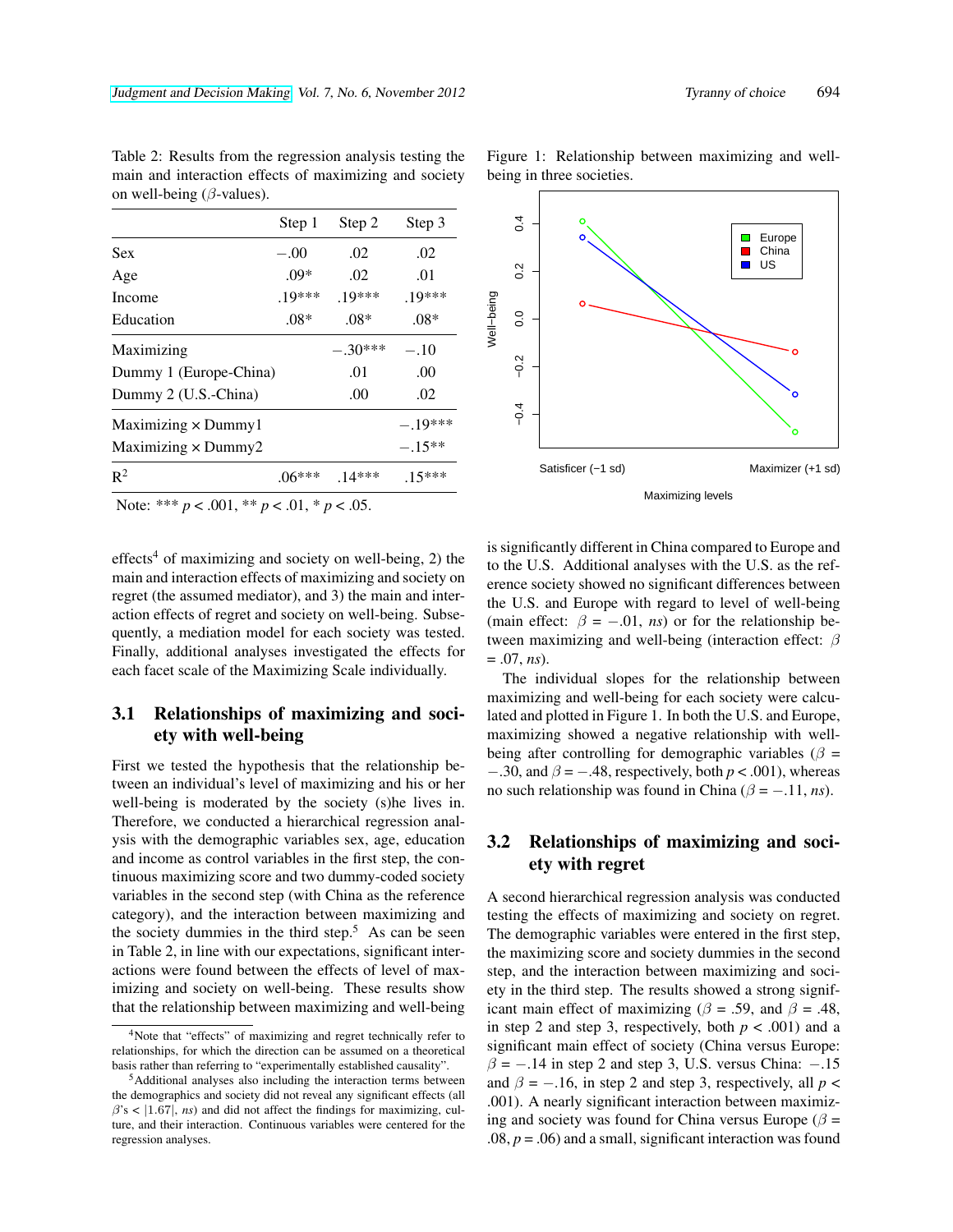|                                                             | Step 1   | Step 2    | Step 3    |
|-------------------------------------------------------------|----------|-----------|-----------|
| <b>Sex</b>                                                  | $-.00$   | .02       | .02       |
| Age                                                         | $.09*$   | .02       | .01       |
| Income                                                      | $.19***$ | $19***$   | $.19***$  |
| Education                                                   | $.08*$   | $.08*$    | $.08*$    |
| Maximizing                                                  |          | $-.30***$ | $-.10$    |
| Dummy 1 (Europe-China)                                      |          | .01       | .00       |
| Dummy 2 (U.S.-China)                                        |          | .00       | .02       |
| Maximizing $\times$ Dummy1                                  |          |           | $-.19***$ |
| Maximizing × Dummy2                                         |          |           | $-.15**$  |
| $R^2$                                                       | $.06***$ | $.14***$  | $.15***$  |
| $N_{\text{obs}}$ *** $\sim 0.01$ ** $\sim 0.1$ * $\sim 0.5$ |          |           |           |

Table 2: Results from the regression analysis testing the main and interaction effects of maximizing and society on well-being ( $\beta$ -values).

Note: \*\*\* *p* < .001, \*\* *p* < .01, \* *p* < .05.

effects<sup>4</sup> of maximizing and society on well-being, 2) the main and interaction effects of maximizing and society on regret (the assumed mediator), and 3) the main and interaction effects of regret and society on well-being. Subsequently, a mediation model for each society was tested. Finally, additional analyses investigated the effects for each facet scale of the Maximizing Scale individually.

### 3.1 Relationships of maximizing and society with well-being

First we tested the hypothesis that the relationship between an individual's level of maximizing and his or her well-being is moderated by the society (s)he lives in. Therefore, we conducted a hierarchical regression analysis with the demographic variables sex, age, education and income as control variables in the first step, the continuous maximizing score and two dummy-coded society variables in the second step (with China as the reference category), and the interaction between maximizing and the society dummies in the third step.<sup>5</sup> As can be seen in Table 2, in line with our expectations, significant interactions were found between the effects of level of maximizing and society on well-being. These results show that the relationship between maximizing and well-being Figure 1: Relationship between maximizing and wellbeing in three societies.



is significantly different in China compared to Europe and to the U.S. Additional analyses with the U.S. as the reference society showed no significant differences between the U.S. and Europe with regard to level of well-being (main effect:  $\beta = -.01$ , *ns*) or for the relationship between maximizing and well-being (interaction effect:  $\beta$ = .07, *ns*).

The individual slopes for the relationship between maximizing and well-being for each society were calculated and plotted in Figure 1. In both the U.S. and Europe, maximizing showed a negative relationship with wellbeing after controlling for demographic variables ( $\beta$  =  $-0.30$ , and  $\beta = -0.48$ , respectively, both  $p < 0.001$ ), whereas no such relationship was found in China ( $\beta = -11$ , *ns*).

#### 3.2 Relationships of maximizing and society with regret

A second hierarchical regression analysis was conducted testing the effects of maximizing and society on regret. The demographic variables were entered in the first step, the maximizing score and society dummies in the second step, and the interaction between maximizing and society in the third step. The results showed a strong significant main effect of maximizing ( $\beta$  = .59, and  $\beta$  = .48, in step 2 and step 3, respectively, both  $p < .001$ ) and a significant main effect of society (China versus Europe:  $\beta = -0.14$  in step 2 and step 3, U.S. versus China:  $-0.15$ and  $\beta = -.16$ , in step 2 and step 3, respectively, all  $p <$ .001). A nearly significant interaction between maximizing and society was found for China versus Europe ( $\beta$  =  $.08, p = .06$ ) and a small, significant interaction was found

<sup>4</sup>Note that "effects" of maximizing and regret technically refer to relationships, for which the direction can be assumed on a theoretical basis rather than referring to "experimentally established causality".

<sup>5</sup>Additional analyses also including the interaction terms between the demographics and society did not reveal any significant effects (all  $\beta$ 's <  $|1.67|$ , *ns*) and did not affect the findings for maximizing, culture, and their interaction. Continuous variables were centered for the regression analyses.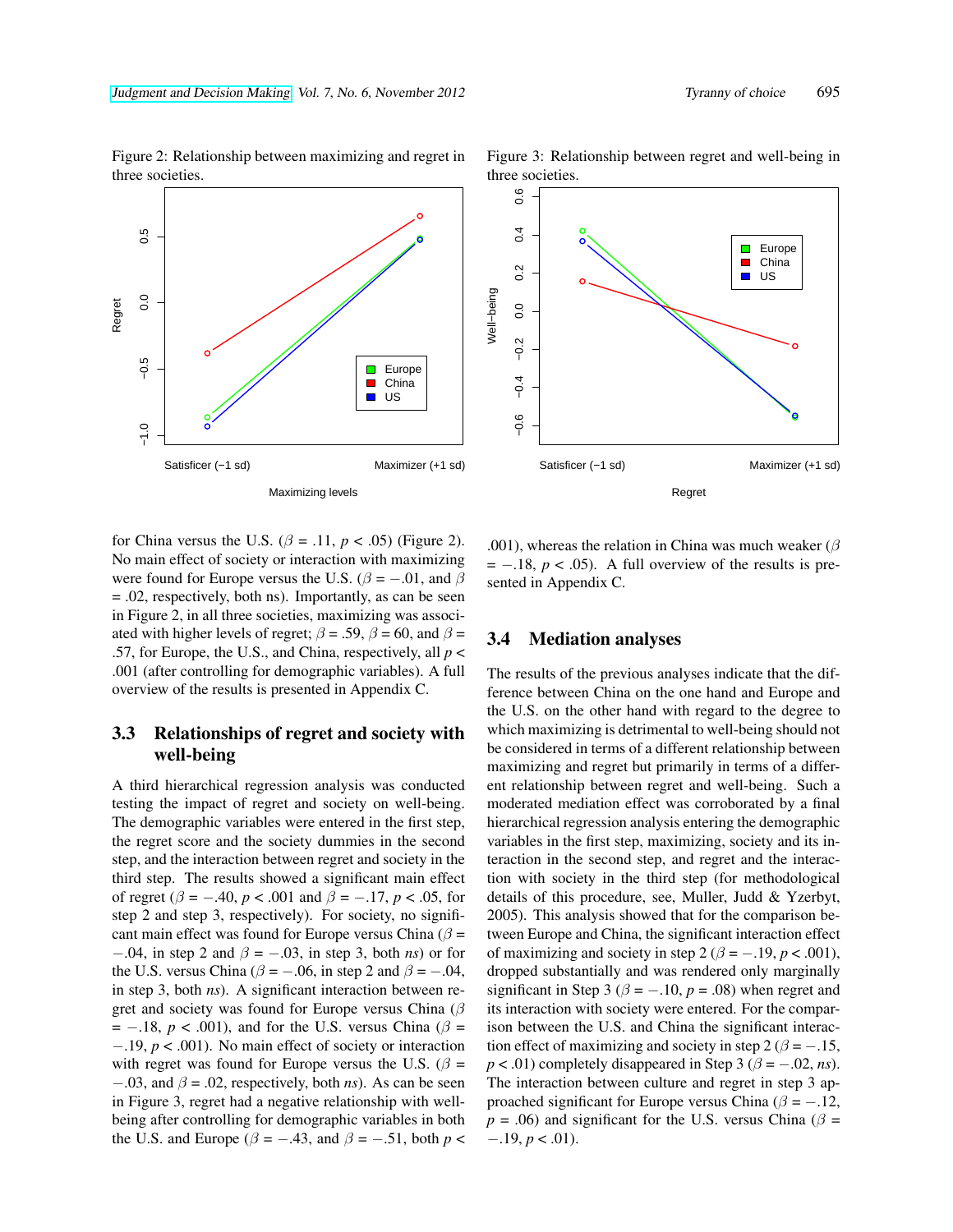

Figure 2: Relationship between maximizing and regret in three societies. Figure 3: Relationship between regret and well-being in



for China versus the U.S.  $(\beta = .11, p < .05)$  (Figure 2). No main effect of society or interaction with maximizing were found for Europe versus the U.S. ( $\beta = -0.01$ , and  $\beta$ = .02, respectively, both ns). Importantly, as can be seen in Figure 2, in all three societies, maximizing was associated with higher levels of regret;  $\beta = .59$ ,  $\beta = 60$ , and  $\beta =$ .57, for Europe, the U.S., and China, respectively, all *p* < .001 (after controlling for demographic variables). A full overview of the results is presented in Appendix C.

#### 3.3 Relationships of regret and society with well-being

A third hierarchical regression analysis was conducted testing the impact of regret and society on well-being. The demographic variables were entered in the first step, the regret score and the society dummies in the second step, and the interaction between regret and society in the third step. The results showed a significant main effect of regret ( $\beta = -.40$ ,  $p < .001$  and  $\beta = -.17$ ,  $p < .05$ , for step 2 and step 3, respectively). For society, no significant main effect was found for Europe versus China ( $\beta$  = −.04, in step 2 and β = −.03, in step 3, both *ns*) or for the U.S. versus China ( $\beta = -.06$ , in step 2 and  $\beta = -.04$ , in step 3, both *ns*). A significant interaction between regret and society was found for Europe versus China ( $\beta$  $= -.18$ ,  $p < .001$ ), and for the U.S. versus China ( $\beta =$ −.19, *p* < .001). No main effect of society or interaction with regret was found for Europe versus the U.S. ( $\beta$  =  $-0.03$ , and  $\beta = 0.02$ , respectively, both *ns*). As can be seen in Figure 3, regret had a negative relationship with wellbeing after controlling for demographic variables in both the U.S. and Europe ( $\beta$  = -.43, and  $\beta$  = -.51, both *p* <

.001), whereas the relation in China was much weaker ( $\beta$  $= -.18$ ,  $p < .05$ ). A full overview of the results is presented in Appendix C.

#### 3.4 Mediation analyses

The results of the previous analyses indicate that the difference between China on the one hand and Europe and the U.S. on the other hand with regard to the degree to which maximizing is detrimental to well-being should not be considered in terms of a different relationship between maximizing and regret but primarily in terms of a different relationship between regret and well-being. Such a moderated mediation effect was corroborated by a final hierarchical regression analysis entering the demographic variables in the first step, maximizing, society and its interaction in the second step, and regret and the interaction with society in the third step (for methodological details of this procedure, see, Muller, Judd & Yzerbyt, 2005). This analysis showed that for the comparison between Europe and China, the significant interaction effect of maximizing and society in step 2 ( $\beta = -19$ ,  $p < .001$ ), dropped substantially and was rendered only marginally significant in Step 3 ( $\beta$  = -.10,  $p$  = .08) when regret and its interaction with society were entered. For the comparison between the U.S. and China the significant interaction effect of maximizing and society in step 2 ( $\beta = -15$ ,  $p < .01$ ) completely disappeared in Step 3 ( $\beta = -.02$ , *ns*). The interaction between culture and regret in step 3 approached significant for Europe versus China ( $\beta$  = -.12,  $p = .06$ ) and significant for the U.S. versus China ( $\beta$  =  $-.19, p < .01$ ).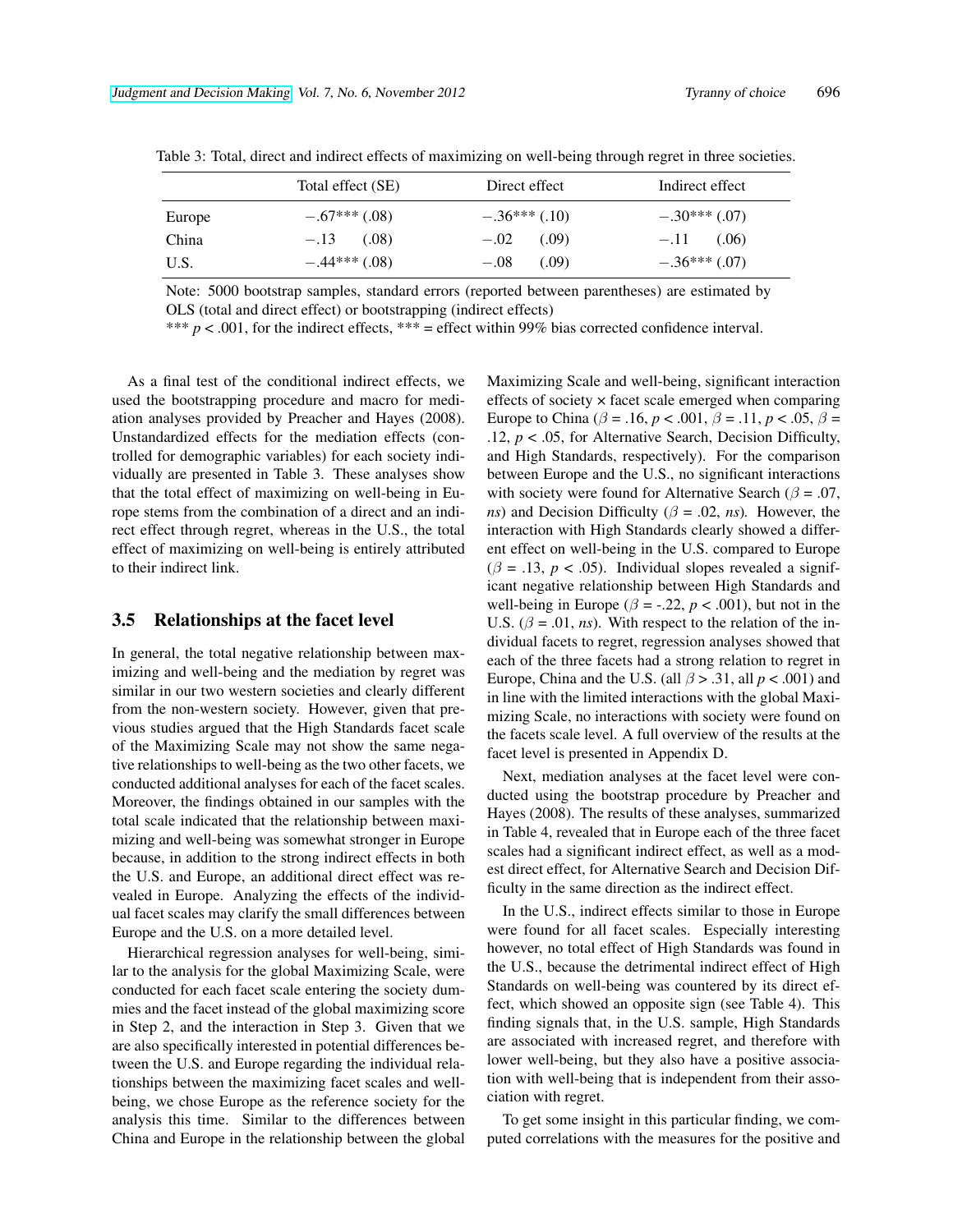|        | Total effect (SE) | Direct effect   | Indirect effect |
|--------|-------------------|-----------------|-----------------|
| Europe | $-.67***(.08)$    | $-.36***(0.10)$ | $-.30***(.07)$  |
| China  | $-.13$ $(.08)$    | (.09)<br>$-.02$ | (.06)<br>$-.11$ |
| U.S.   | $-.44***(.08)$    | (.09)<br>$-.08$ | $-.36***(07)$   |

Table 3: Total, direct and indirect effects of maximizing on well-being through regret in three societies.

Note: 5000 bootstrap samples, standard errors (reported between parentheses) are estimated by OLS (total and direct effect) or bootstrapping (indirect effects)

\*\*\* *p* < .001, for the indirect effects, \*\*\* = effect within 99% bias corrected confidence interval.

As a final test of the conditional indirect effects, we used the bootstrapping procedure and macro for mediation analyses provided by Preacher and Hayes (2008). Unstandardized effects for the mediation effects (controlled for demographic variables) for each society individually are presented in Table 3. These analyses show that the total effect of maximizing on well-being in Europe stems from the combination of a direct and an indirect effect through regret, whereas in the U.S., the total effect of maximizing on well-being is entirely attributed to their indirect link.

#### 3.5 Relationships at the facet level

In general, the total negative relationship between maximizing and well-being and the mediation by regret was similar in our two western societies and clearly different from the non-western society. However, given that previous studies argued that the High Standards facet scale of the Maximizing Scale may not show the same negative relationships to well-being as the two other facets, we conducted additional analyses for each of the facet scales. Moreover, the findings obtained in our samples with the total scale indicated that the relationship between maximizing and well-being was somewhat stronger in Europe because, in addition to the strong indirect effects in both the U.S. and Europe, an additional direct effect was revealed in Europe. Analyzing the effects of the individual facet scales may clarify the small differences between Europe and the U.S. on a more detailed level.

Hierarchical regression analyses for well-being, similar to the analysis for the global Maximizing Scale, were conducted for each facet scale entering the society dummies and the facet instead of the global maximizing score in Step 2, and the interaction in Step 3. Given that we are also specifically interested in potential differences between the U.S. and Europe regarding the individual relationships between the maximizing facet scales and wellbeing, we chose Europe as the reference society for the analysis this time. Similar to the differences between China and Europe in the relationship between the global Maximizing Scale and well-being, significant interaction effects of society  $\times$  facet scale emerged when comparing Europe to China ( $\beta$  = .16, *p* < .001,  $\beta$  = .11, *p* < .05,  $\beta$  = .12, *p* < .05, for Alternative Search, Decision Difficulty, and High Standards, respectively). For the comparison between Europe and the U.S., no significant interactions with society were found for Alternative Search ( $\beta = .07$ , *ns*) and Decision Difficulty ( $\beta$  = .02, *ns*). However, the interaction with High Standards clearly showed a different effect on well-being in the U.S. compared to Europe  $(\beta = .13, p < .05)$ . Individual slopes revealed a significant negative relationship between High Standards and well-being in Europe ( $\beta$  = -.22,  $p$  < .001), but not in the U.S.  $(\beta = .01, ns)$ . With respect to the relation of the individual facets to regret, regression analyses showed that each of the three facets had a strong relation to regret in Europe, China and the U.S. (all  $\beta$  > .31, all  $p < .001$ ) and in line with the limited interactions with the global Maximizing Scale, no interactions with society were found on the facets scale level. A full overview of the results at the facet level is presented in Appendix D.

Next, mediation analyses at the facet level were conducted using the bootstrap procedure by Preacher and Hayes (2008). The results of these analyses, summarized in Table 4, revealed that in Europe each of the three facet scales had a significant indirect effect, as well as a modest direct effect, for Alternative Search and Decision Difficulty in the same direction as the indirect effect.

In the U.S., indirect effects similar to those in Europe were found for all facet scales. Especially interesting however, no total effect of High Standards was found in the U.S., because the detrimental indirect effect of High Standards on well-being was countered by its direct effect, which showed an opposite sign (see Table 4). This finding signals that, in the U.S. sample, High Standards are associated with increased regret, and therefore with lower well-being, but they also have a positive association with well-being that is independent from their association with regret.

To get some insight in this particular finding, we computed correlations with the measures for the positive and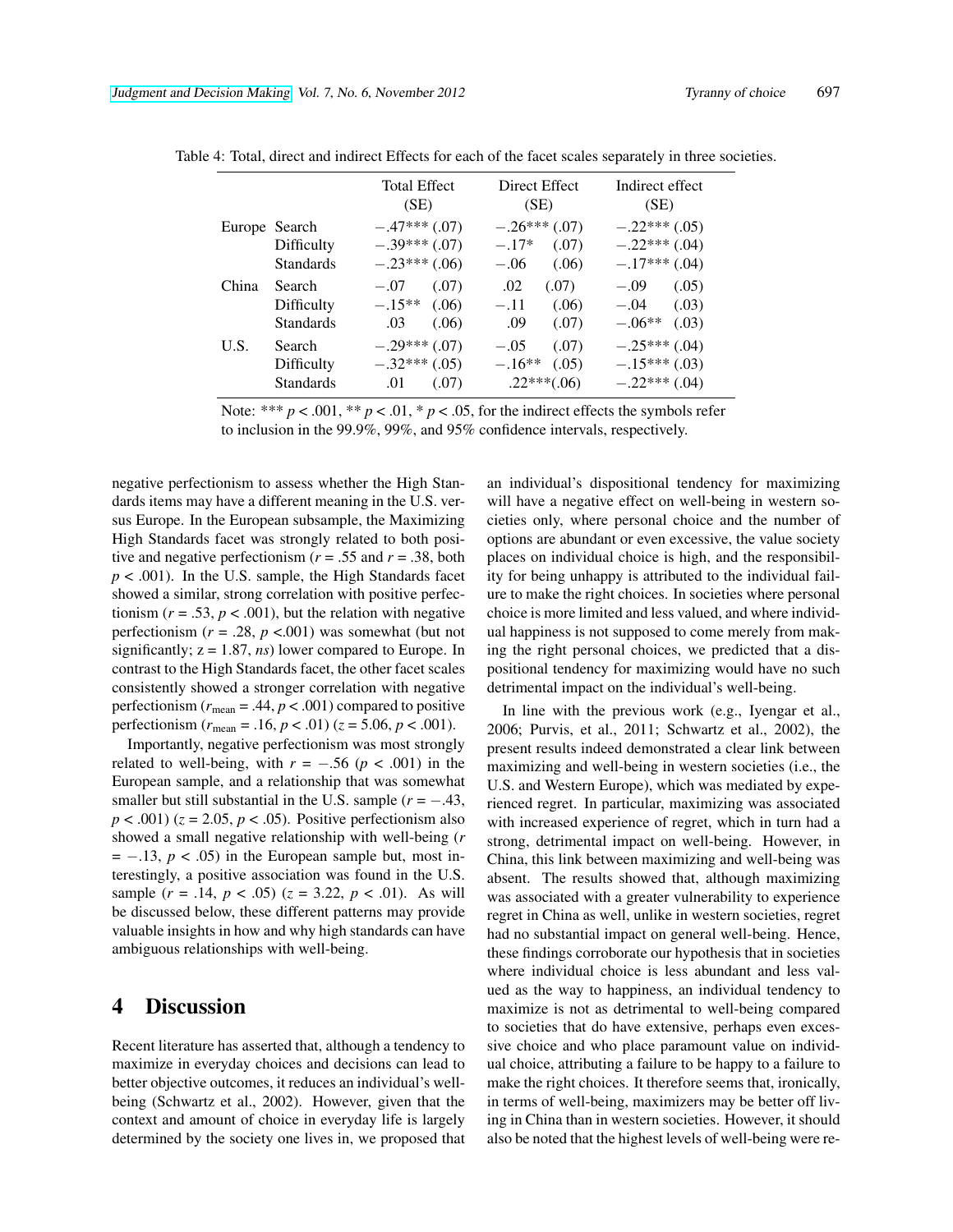|       |                                                 | <b>Total Effect</b><br>(SE)                          | Direct Effect<br>(SE)                                 | Indirect effect<br>(SE)                                 |
|-------|-------------------------------------------------|------------------------------------------------------|-------------------------------------------------------|---------------------------------------------------------|
|       | Europe Search<br>Difficulty<br><b>Standards</b> | $-.47***(.07)$<br>$-.39***(.07)$<br>$-.23***(.06)$   | $-.26***(.07)$<br>$-.17*$<br>(.07)<br>$-.06$<br>(.06) | $-.22***(.05)$<br>$-.22***$ (.04)<br>$-.17***(.04)$     |
| China | Search<br>Difficulty<br><b>Standards</b>        | (.07)<br>$-.07$<br>$-.15**$<br>(.06)<br>.03<br>(.06) | .02<br>(.07)<br>$-.11$<br>(.06)<br>.09<br>(.07)       | (.05)<br>$-.09$<br>(.03)<br>$-.04$<br>$-.06**$<br>(.03) |
| U.S.  | Search<br>Difficulty<br><b>Standards</b>        | $-.29***(.07)$<br>$-.32***(.05)$<br>.01<br>(.07)     | (.07)<br>$-.05$<br>$-.16**$<br>(.05)<br>$.22***(.06)$ | $-.25***(.04)$<br>$-.15***(.03)$<br>$-.22***$ (.04)     |

Table 4: Total, direct and indirect Effects for each of the facet scales separately in three societies.

Note: \*\*\*  $p < .001$ , \*\*  $p < .01$ , \*  $p < .05$ , for the indirect effects the symbols refer to inclusion in the 99.9%, 99%, and 95% confidence intervals, respectively.

negative perfectionism to assess whether the High Standards items may have a different meaning in the U.S. versus Europe. In the European subsample, the Maximizing High Standards facet was strongly related to both positive and negative perfectionism (*r* = .55 and *r* = .38, both  $p < .001$ ). In the U.S. sample, the High Standards facet showed a similar, strong correlation with positive perfectionism ( $r = .53$ ,  $p < .001$ ), but the relation with negative perfectionism (*r* = .28, *p* <.001) was somewhat (but not significantly; z = 1.87, *ns*) lower compared to Europe. In contrast to the High Standards facet, the other facet scales consistently showed a stronger correlation with negative perfectionism ( $r_{\text{mean}} = .44$ ,  $p < .001$ ) compared to positive perfectionism  $(r_{\text{mean}} = .16, p < .01)$  ( $z = 5.06, p < .001$ ).

Importantly, negative perfectionism was most strongly related to well-being, with  $r = -.56$  ( $p < .001$ ) in the European sample, and a relationship that was somewhat smaller but still substantial in the U.S. sample  $(r = -.43, ...)$  $p < .001$ ) ( $z = 2.05$ ,  $p < .05$ ). Positive perfectionism also showed a small negative relationship with well-being (*r*  $= -0.13$ ,  $p < 0.05$ ) in the European sample but, most interestingly, a positive association was found in the U.S. sample  $(r = .14, p < .05)$   $(z = 3.22, p < .01)$ . As will be discussed below, these different patterns may provide valuable insights in how and why high standards can have ambiguous relationships with well-being.

### 4 Discussion

Recent literature has asserted that, although a tendency to maximize in everyday choices and decisions can lead to better objective outcomes, it reduces an individual's wellbeing (Schwartz et al., 2002). However, given that the context and amount of choice in everyday life is largely determined by the society one lives in, we proposed that an individual's dispositional tendency for maximizing will have a negative effect on well-being in western societies only, where personal choice and the number of options are abundant or even excessive, the value society places on individual choice is high, and the responsibility for being unhappy is attributed to the individual failure to make the right choices. In societies where personal choice is more limited and less valued, and where individual happiness is not supposed to come merely from making the right personal choices, we predicted that a dispositional tendency for maximizing would have no such detrimental impact on the individual's well-being.

In line with the previous work (e.g., Iyengar et al., 2006; Purvis, et al., 2011; Schwartz et al., 2002), the present results indeed demonstrated a clear link between maximizing and well-being in western societies (i.e., the U.S. and Western Europe), which was mediated by experienced regret. In particular, maximizing was associated with increased experience of regret, which in turn had a strong, detrimental impact on well-being. However, in China, this link between maximizing and well-being was absent. The results showed that, although maximizing was associated with a greater vulnerability to experience regret in China as well, unlike in western societies, regret had no substantial impact on general well-being. Hence, these findings corroborate our hypothesis that in societies where individual choice is less abundant and less valued as the way to happiness, an individual tendency to maximize is not as detrimental to well-being compared to societies that do have extensive, perhaps even excessive choice and who place paramount value on individual choice, attributing a failure to be happy to a failure to make the right choices. It therefore seems that, ironically, in terms of well-being, maximizers may be better off living in China than in western societies. However, it should also be noted that the highest levels of well-being were re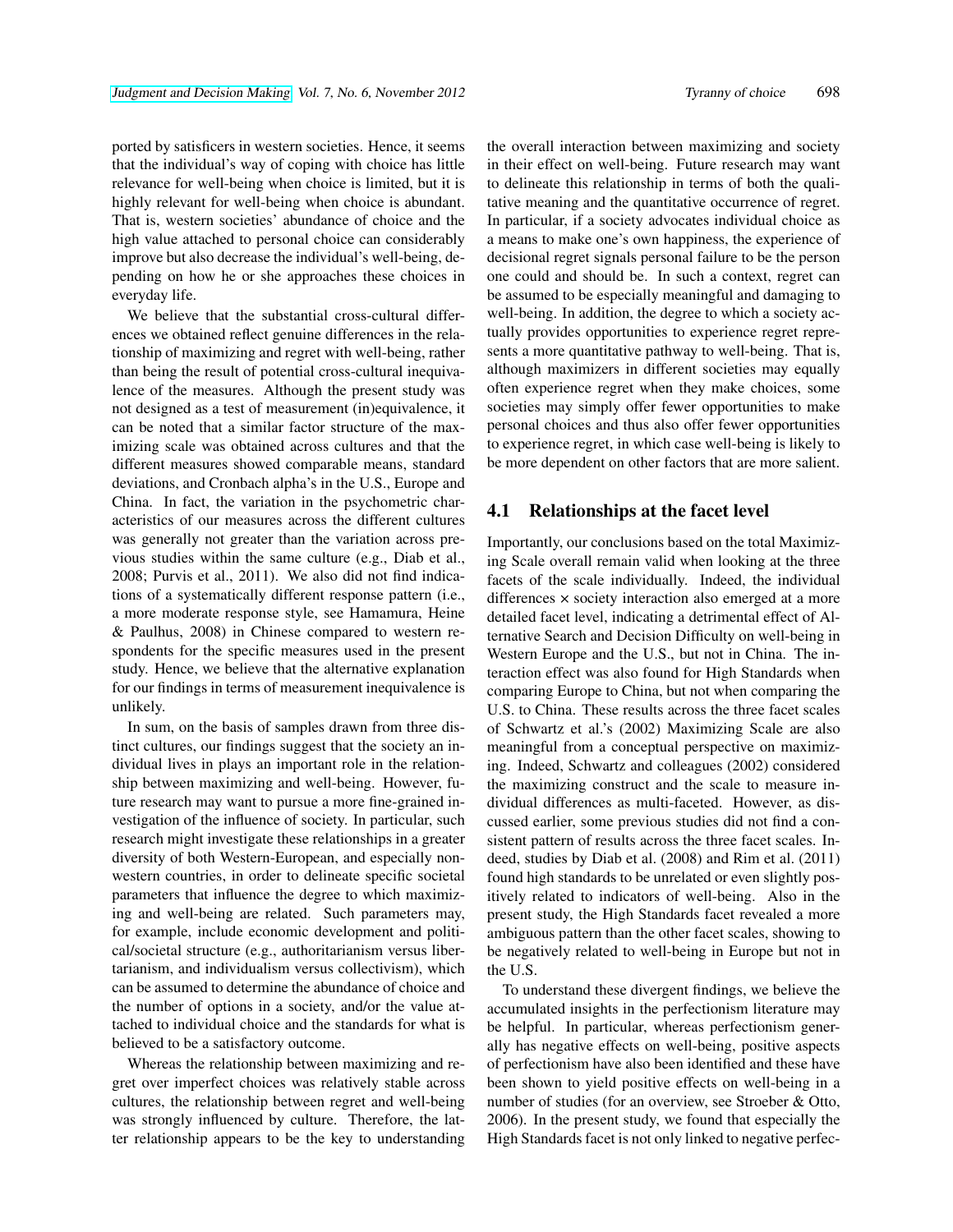ported by satisficers in western societies. Hence, it seems that the individual's way of coping with choice has little relevance for well-being when choice is limited, but it is highly relevant for well-being when choice is abundant. That is, western societies' abundance of choice and the high value attached to personal choice can considerably improve but also decrease the individual's well-being, depending on how he or she approaches these choices in everyday life.

We believe that the substantial cross-cultural differences we obtained reflect genuine differences in the relationship of maximizing and regret with well-being, rather than being the result of potential cross-cultural inequivalence of the measures. Although the present study was not designed as a test of measurement (in)equivalence, it can be noted that a similar factor structure of the maximizing scale was obtained across cultures and that the different measures showed comparable means, standard deviations, and Cronbach alpha's in the U.S., Europe and China. In fact, the variation in the psychometric characteristics of our measures across the different cultures was generally not greater than the variation across previous studies within the same culture (e.g., Diab et al., 2008; Purvis et al., 2011). We also did not find indications of a systematically different response pattern (i.e., a more moderate response style, see Hamamura, Heine & Paulhus, 2008) in Chinese compared to western respondents for the specific measures used in the present study. Hence, we believe that the alternative explanation for our findings in terms of measurement inequivalence is unlikely.

In sum, on the basis of samples drawn from three distinct cultures, our findings suggest that the society an individual lives in plays an important role in the relationship between maximizing and well-being. However, future research may want to pursue a more fine-grained investigation of the influence of society. In particular, such research might investigate these relationships in a greater diversity of both Western-European, and especially nonwestern countries, in order to delineate specific societal parameters that influence the degree to which maximizing and well-being are related. Such parameters may, for example, include economic development and political/societal structure (e.g., authoritarianism versus libertarianism, and individualism versus collectivism), which can be assumed to determine the abundance of choice and the number of options in a society, and/or the value attached to individual choice and the standards for what is believed to be a satisfactory outcome.

Whereas the relationship between maximizing and regret over imperfect choices was relatively stable across cultures, the relationship between regret and well-being was strongly influenced by culture. Therefore, the latter relationship appears to be the key to understanding the overall interaction between maximizing and society in their effect on well-being. Future research may want to delineate this relationship in terms of both the qualitative meaning and the quantitative occurrence of regret. In particular, if a society advocates individual choice as a means to make one's own happiness, the experience of decisional regret signals personal failure to be the person one could and should be. In such a context, regret can be assumed to be especially meaningful and damaging to well-being. In addition, the degree to which a society actually provides opportunities to experience regret represents a more quantitative pathway to well-being. That is, although maximizers in different societies may equally often experience regret when they make choices, some societies may simply offer fewer opportunities to make personal choices and thus also offer fewer opportunities to experience regret, in which case well-being is likely to be more dependent on other factors that are more salient.

#### 4.1 Relationships at the facet level

Importantly, our conclusions based on the total Maximizing Scale overall remain valid when looking at the three facets of the scale individually. Indeed, the individual differences × society interaction also emerged at a more detailed facet level, indicating a detrimental effect of Alternative Search and Decision Difficulty on well-being in Western Europe and the U.S., but not in China. The interaction effect was also found for High Standards when comparing Europe to China, but not when comparing the U.S. to China. These results across the three facet scales of Schwartz et al.'s (2002) Maximizing Scale are also meaningful from a conceptual perspective on maximizing. Indeed, Schwartz and colleagues (2002) considered the maximizing construct and the scale to measure individual differences as multi-faceted. However, as discussed earlier, some previous studies did not find a consistent pattern of results across the three facet scales. Indeed, studies by Diab et al. (2008) and Rim et al. (2011) found high standards to be unrelated or even slightly positively related to indicators of well-being. Also in the present study, the High Standards facet revealed a more ambiguous pattern than the other facet scales, showing to be negatively related to well-being in Europe but not in the U.S.

To understand these divergent findings, we believe the accumulated insights in the perfectionism literature may be helpful. In particular, whereas perfectionism generally has negative effects on well-being, positive aspects of perfectionism have also been identified and these have been shown to yield positive effects on well-being in a number of studies (for an overview, see Stroeber & Otto, 2006). In the present study, we found that especially the High Standards facet is not only linked to negative perfec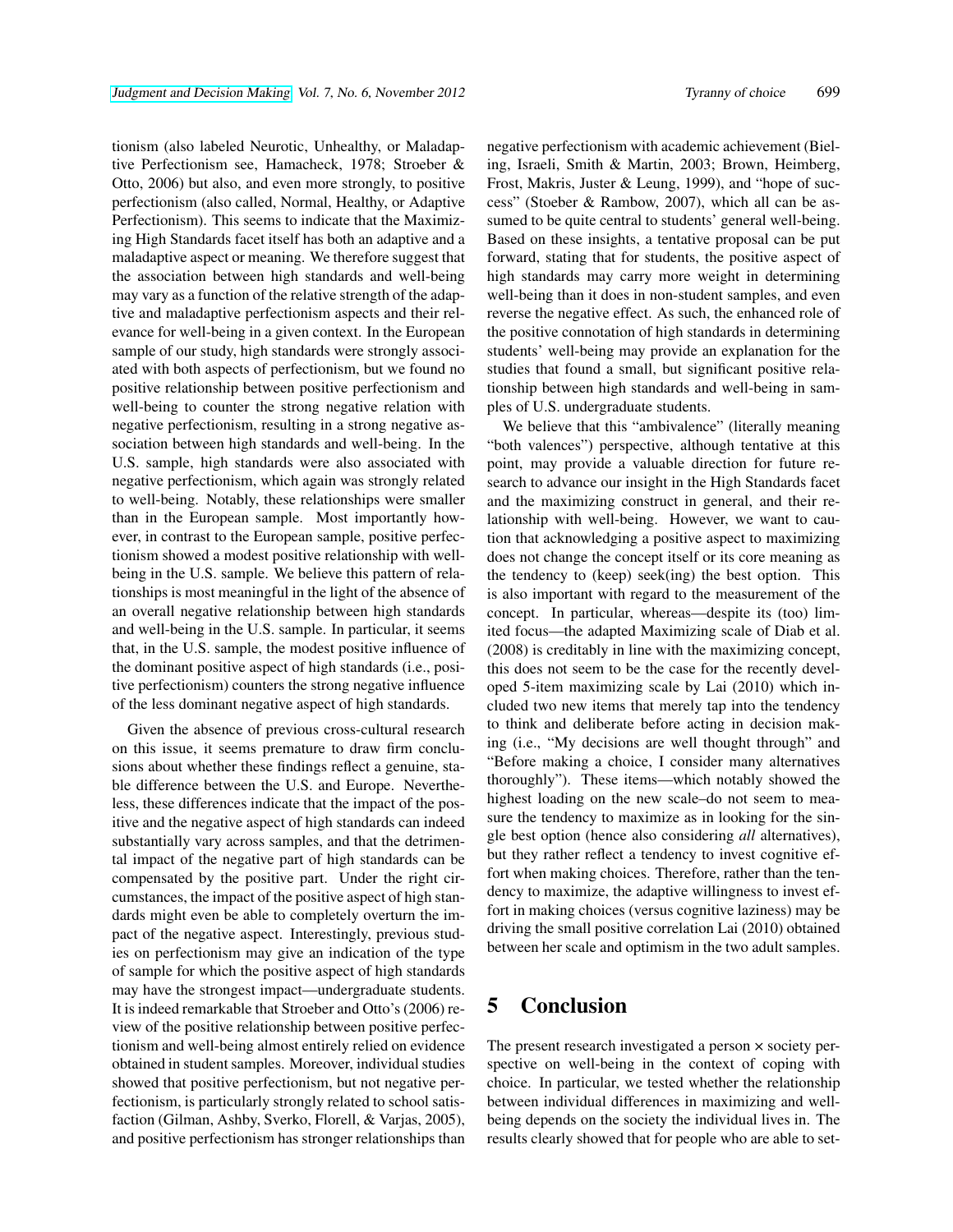tionism (also labeled Neurotic, Unhealthy, or Maladaptive Perfectionism see, Hamacheck, 1978; Stroeber & Otto, 2006) but also, and even more strongly, to positive perfectionism (also called, Normal, Healthy, or Adaptive Perfectionism). This seems to indicate that the Maximizing High Standards facet itself has both an adaptive and a maladaptive aspect or meaning. We therefore suggest that the association between high standards and well-being may vary as a function of the relative strength of the adaptive and maladaptive perfectionism aspects and their relevance for well-being in a given context. In the European sample of our study, high standards were strongly associated with both aspects of perfectionism, but we found no positive relationship between positive perfectionism and well-being to counter the strong negative relation with negative perfectionism, resulting in a strong negative association between high standards and well-being. In the U.S. sample, high standards were also associated with negative perfectionism, which again was strongly related to well-being. Notably, these relationships were smaller than in the European sample. Most importantly however, in contrast to the European sample, positive perfectionism showed a modest positive relationship with wellbeing in the U.S. sample. We believe this pattern of relationships is most meaningful in the light of the absence of an overall negative relationship between high standards and well-being in the U.S. sample. In particular, it seems that, in the U.S. sample, the modest positive influence of the dominant positive aspect of high standards (i.e., positive perfectionism) counters the strong negative influence of the less dominant negative aspect of high standards.

Given the absence of previous cross-cultural research on this issue, it seems premature to draw firm conclusions about whether these findings reflect a genuine, stable difference between the U.S. and Europe. Nevertheless, these differences indicate that the impact of the positive and the negative aspect of high standards can indeed substantially vary across samples, and that the detrimental impact of the negative part of high standards can be compensated by the positive part. Under the right circumstances, the impact of the positive aspect of high standards might even be able to completely overturn the impact of the negative aspect. Interestingly, previous studies on perfectionism may give an indication of the type of sample for which the positive aspect of high standards may have the strongest impact—undergraduate students. It is indeed remarkable that Stroeber and Otto's (2006) review of the positive relationship between positive perfectionism and well-being almost entirely relied on evidence obtained in student samples. Moreover, individual studies showed that positive perfectionism, but not negative perfectionism, is particularly strongly related to school satisfaction (Gilman, Ashby, Sverko, Florell, & Varjas, 2005), and positive perfectionism has stronger relationships than

negative perfectionism with academic achievement (Bieling, Israeli, Smith & Martin, 2003; Brown, Heimberg, Frost, Makris, Juster & Leung, 1999), and "hope of success" (Stoeber & Rambow, 2007), which all can be assumed to be quite central to students' general well-being. Based on these insights, a tentative proposal can be put forward, stating that for students, the positive aspect of high standards may carry more weight in determining well-being than it does in non-student samples, and even reverse the negative effect. As such, the enhanced role of the positive connotation of high standards in determining students' well-being may provide an explanation for the studies that found a small, but significant positive relationship between high standards and well-being in samples of U.S. undergraduate students.

We believe that this "ambivalence" (literally meaning "both valences") perspective, although tentative at this point, may provide a valuable direction for future research to advance our insight in the High Standards facet and the maximizing construct in general, and their relationship with well-being. However, we want to caution that acknowledging a positive aspect to maximizing does not change the concept itself or its core meaning as the tendency to (keep) seek(ing) the best option. This is also important with regard to the measurement of the concept. In particular, whereas—despite its (too) limited focus—the adapted Maximizing scale of Diab et al. (2008) is creditably in line with the maximizing concept, this does not seem to be the case for the recently developed 5-item maximizing scale by Lai (2010) which included two new items that merely tap into the tendency to think and deliberate before acting in decision making (i.e., "My decisions are well thought through" and "Before making a choice, I consider many alternatives thoroughly"). These items—which notably showed the highest loading on the new scale–do not seem to measure the tendency to maximize as in looking for the single best option (hence also considering *all* alternatives), but they rather reflect a tendency to invest cognitive effort when making choices. Therefore, rather than the tendency to maximize, the adaptive willingness to invest effort in making choices (versus cognitive laziness) may be driving the small positive correlation Lai (2010) obtained between her scale and optimism in the two adult samples.

## 5 Conclusion

The present research investigated a person × society perspective on well-being in the context of coping with choice. In particular, we tested whether the relationship between individual differences in maximizing and wellbeing depends on the society the individual lives in. The results clearly showed that for people who are able to set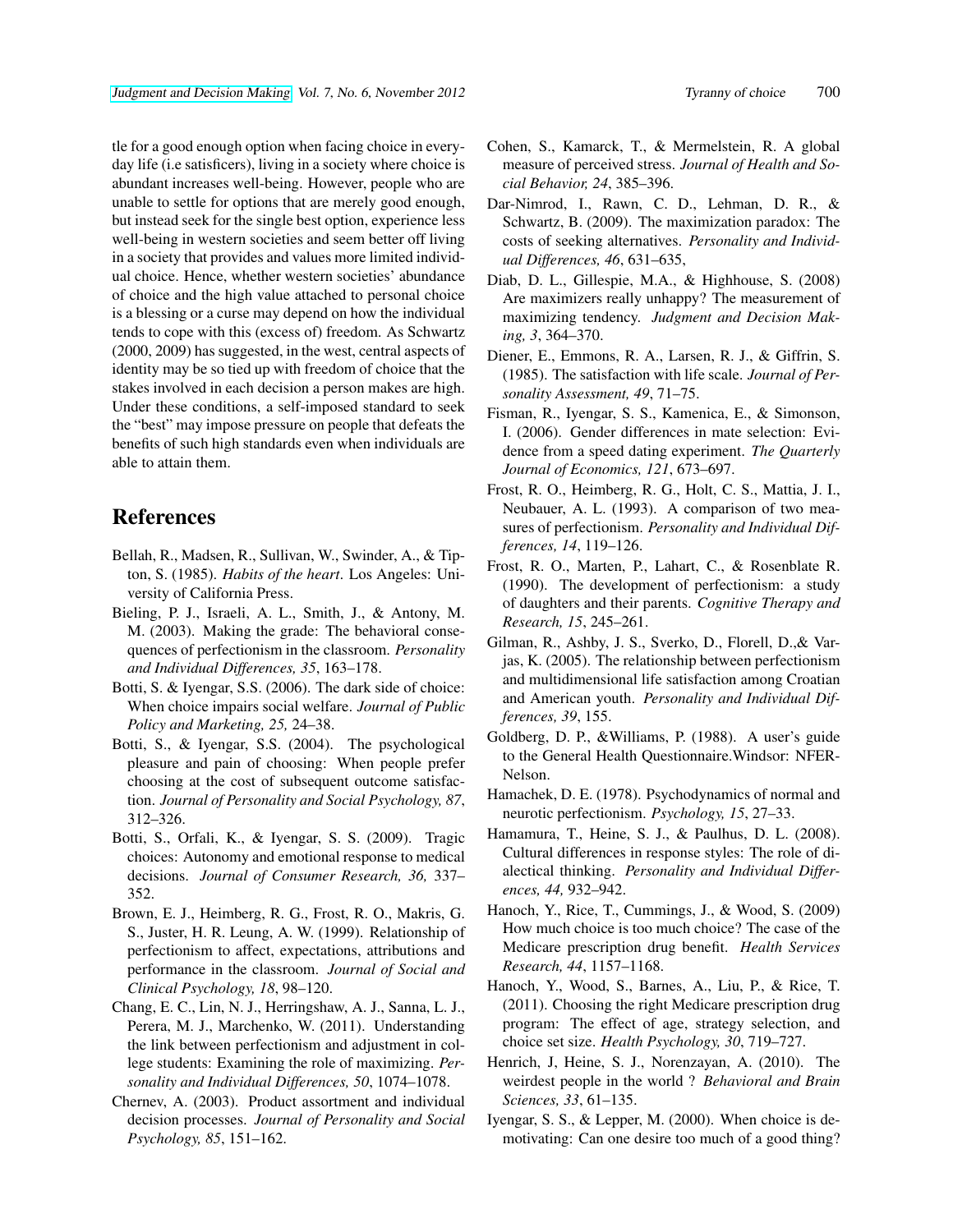tle for a good enough option when facing choice in everyday life (i.e satisficers), living in a society where choice is abundant increases well-being. However, people who are unable to settle for options that are merely good enough, but instead seek for the single best option, experience less well-being in western societies and seem better off living in a society that provides and values more limited individual choice. Hence, whether western societies' abundance of choice and the high value attached to personal choice is a blessing or a curse may depend on how the individual tends to cope with this (excess of) freedom. As Schwartz (2000, 2009) has suggested, in the west, central aspects of identity may be so tied up with freedom of choice that the stakes involved in each decision a person makes are high. Under these conditions, a self-imposed standard to seek the "best" may impose pressure on people that defeats the benefits of such high standards even when individuals are able to attain them.

## References

- Bellah, R., Madsen, R., Sullivan, W., Swinder, A., & Tipton, S. (1985). *Habits of the heart*. Los Angeles: University of California Press.
- Bieling, P. J., Israeli, A. L., Smith, J., & Antony, M. M. (2003). Making the grade: The behavioral consequences of perfectionism in the classroom. *Personality and Individual Differences, 35*, 163–178.
- Botti, S. & Iyengar, S.S. (2006). The dark side of choice: When choice impairs social welfare. *Journal of Public Policy and Marketing, 25,* 24–38.
- Botti, S., & Iyengar, S.S. (2004). The psychological pleasure and pain of choosing: When people prefer choosing at the cost of subsequent outcome satisfaction. *Journal of Personality and Social Psychology, 87*, 312–326.
- Botti, S., Orfali, K., & Iyengar, S. S. (2009). Tragic choices: Autonomy and emotional response to medical decisions. *Journal of Consumer Research, 36,* 337– 352.
- Brown, E. J., Heimberg, R. G., Frost, R. O., Makris, G. S., Juster, H. R. Leung, A. W. (1999). Relationship of perfectionism to affect, expectations, attributions and performance in the classroom. *Journal of Social and Clinical Psychology, 18*, 98–120.
- Chang, E. C., Lin, N. J., Herringshaw, A. J., Sanna, L. J., Perera, M. J., Marchenko, W. (2011). Understanding the link between perfectionism and adjustment in college students: Examining the role of maximizing. *Personality and Individual Differences, 50*, 1074–1078.
- Chernev, A. (2003). Product assortment and individual decision processes. *Journal of Personality and Social Psychology, 85*, 151–162.
- Cohen, S., Kamarck, T., & Mermelstein, R. A global measure of perceived stress. *Journal of Health and Social Behavior, 24*, 385–396.
- Dar-Nimrod, I., Rawn, C. D., Lehman, D. R., & Schwartz, B. (2009). The maximization paradox: The costs of seeking alternatives. *Personality and Individual Differences, 46*, 631–635,
- Diab, D. L., Gillespie, M.A., & Highhouse, S. (2008) Are maximizers really unhappy? The measurement of maximizing tendency. *Judgment and Decision Making, 3*, 364–370.
- Diener, E., Emmons, R. A., Larsen, R. J., & Giffrin, S. (1985). The satisfaction with life scale. *Journal of Personality Assessment, 49*, 71–75.
- Fisman, R., Iyengar, S. S., Kamenica, E., & Simonson, I. (2006). Gender differences in mate selection: Evidence from a speed dating experiment. *The Quarterly Journal of Economics, 121*, 673–697.
- Frost, R. O., Heimberg, R. G., Holt, C. S., Mattia, J. I., Neubauer, A. L. (1993). A comparison of two measures of perfectionism. *Personality and Individual Differences, 14*, 119–126.
- Frost, R. O., Marten, P., Lahart, C., & Rosenblate R. (1990). The development of perfectionism: a study of daughters and their parents. *Cognitive Therapy and Research, 15*, 245–261.
- Gilman, R., Ashby, J. S., Sverko, D., Florell, D.,& Varjas, K. (2005). The relationship between perfectionism and multidimensional life satisfaction among Croatian and American youth. *Personality and Individual Differences, 39*, 155.
- Goldberg, D. P., &Williams, P. (1988). A user's guide to the General Health Questionnaire.Windsor: NFER-Nelson.
- Hamachek, D. E. (1978). Psychodynamics of normal and neurotic perfectionism. *Psychology, 15*, 27–33.
- Hamamura, T., Heine, S. J., & Paulhus, D. L. (2008). Cultural differences in response styles: The role of dialectical thinking. *Personality and Individual Differences, 44,* 932–942.
- Hanoch, Y., Rice, T., Cummings, J., & Wood, S. (2009) How much choice is too much choice? The case of the Medicare prescription drug benefit. *Health Services Research, 44*, 1157–1168.
- Hanoch, Y., Wood, S., Barnes, A., Liu, P., & Rice, T. (2011). Choosing the right Medicare prescription drug program: The effect of age, strategy selection, and choice set size. *Health Psychology, 30*, 719–727.
- Henrich, J, Heine, S. J., Norenzayan, A. (2010). The weirdest people in the world ? *Behavioral and Brain Sciences, 33*, 61–135.
- Iyengar, S. S., & Lepper, M. (2000). When choice is demotivating: Can one desire too much of a good thing?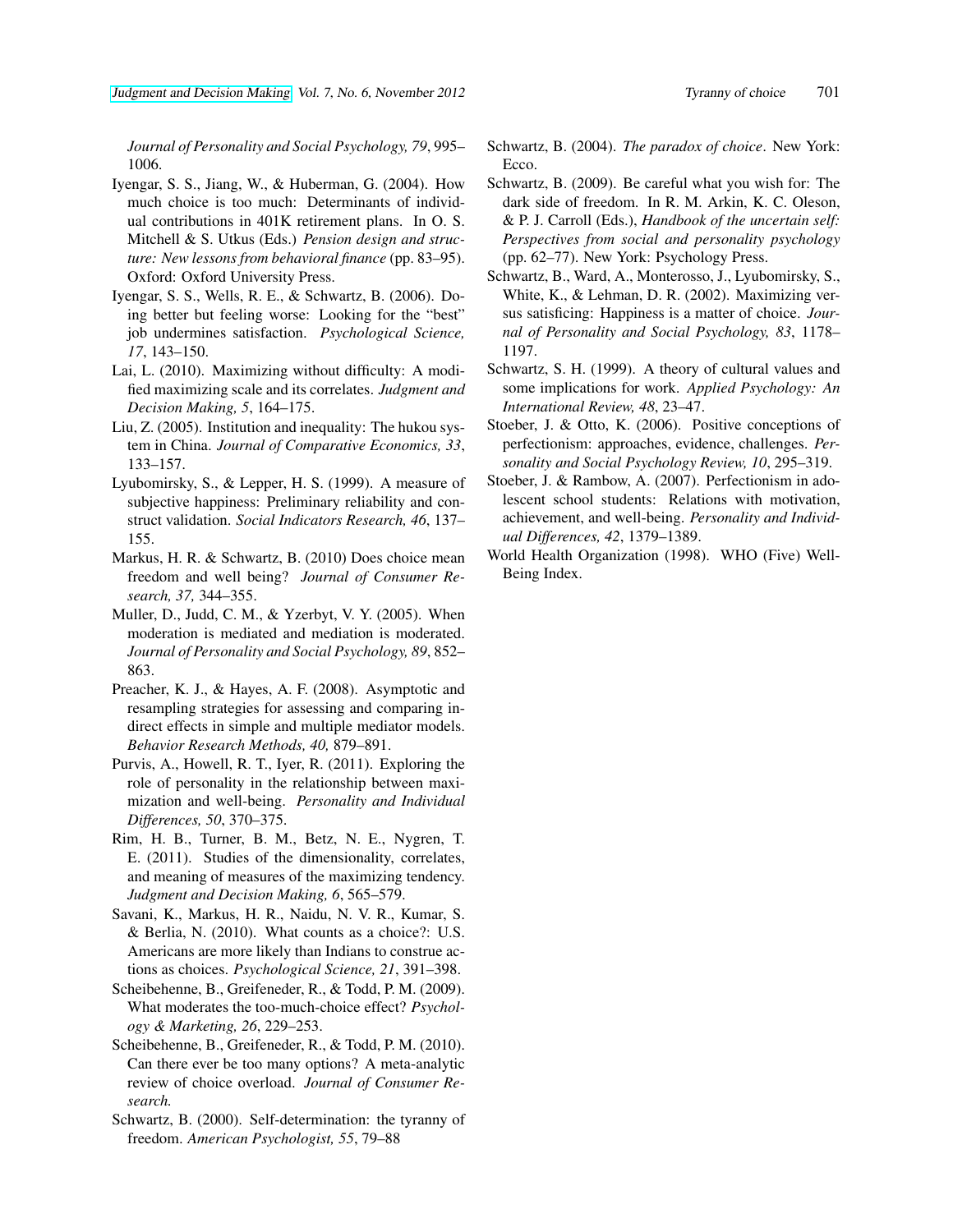*Journal of Personality and Social Psychology, 79*, 995– 1006.

- Iyengar, S. S., Jiang, W., & Huberman, G. (2004). How much choice is too much: Determinants of individual contributions in 401K retirement plans. In O. S. Mitchell & S. Utkus (Eds.) *Pension design and structure: New lessons from behavioral finance* (pp. 83–95). Oxford: Oxford University Press.
- Iyengar, S. S., Wells, R. E., & Schwartz, B. (2006). Doing better but feeling worse: Looking for the "best" job undermines satisfaction. *Psychological Science, 17*, 143–150.
- Lai, L. (2010). Maximizing without difficulty: A modified maximizing scale and its correlates. *Judgment and Decision Making, 5*, 164–175.
- Liu, Z. (2005). Institution and inequality: The hukou system in China. *Journal of Comparative Economics, 33*, 133–157.
- Lyubomirsky, S., & Lepper, H. S. (1999). A measure of subjective happiness: Preliminary reliability and construct validation. *Social Indicators Research, 46*, 137– 155.
- Markus, H. R. & Schwartz, B. (2010) Does choice mean freedom and well being? *Journal of Consumer Research, 37,* 344–355.
- Muller, D., Judd, C. M., & Yzerbyt, V. Y. (2005). When moderation is mediated and mediation is moderated. *Journal of Personality and Social Psychology, 89*, 852– 863.
- Preacher, K. J., & Hayes, A. F. (2008). Asymptotic and resampling strategies for assessing and comparing indirect effects in simple and multiple mediator models. *Behavior Research Methods, 40,* 879–891.
- Purvis, A., Howell, R. T., Iyer, R. (2011). Exploring the role of personality in the relationship between maximization and well-being. *Personality and Individual Differences, 50*, 370–375.
- Rim, H. B., Turner, B. M., Betz, N. E., Nygren, T. E. (2011). Studies of the dimensionality, correlates, and meaning of measures of the maximizing tendency. *Judgment and Decision Making, 6*, 565–579.
- Savani, K., Markus, H. R., Naidu, N. V. R., Kumar, S. & Berlia, N. (2010). What counts as a choice?: U.S. Americans are more likely than Indians to construe actions as choices. *Psychological Science, 21*, 391–398.
- Scheibehenne, B., Greifeneder, R., & Todd, P. M. (2009). What moderates the too-much-choice effect? *Psychology & Marketing, 26*, 229–253.
- Scheibehenne, B., Greifeneder, R., & Todd, P. M. (2010). Can there ever be too many options? A meta-analytic review of choice overload. *Journal of Consumer Research.*
- Schwartz, B. (2000). Self-determination: the tyranny of freedom. *American Psychologist, 55*, 79–88
- Schwartz, B. (2004). *The paradox of choice*. New York: Ecco.
- Schwartz, B. (2009). Be careful what you wish for: The dark side of freedom. In R. M. Arkin, K. C. Oleson, & P. J. Carroll (Eds.), *Handbook of the uncertain self: Perspectives from social and personality psychology* (pp. 62–77). New York: Psychology Press.
- Schwartz, B., Ward, A., Monterosso, J., Lyubomirsky, S., White, K., & Lehman, D. R. (2002). Maximizing versus satisficing: Happiness is a matter of choice. *Journal of Personality and Social Psychology, 83*, 1178– 1197.
- Schwartz, S. H. (1999). A theory of cultural values and some implications for work. *Applied Psychology: An International Review, 48*, 23–47.
- Stoeber, J. & Otto, K. (2006). Positive conceptions of perfectionism: approaches, evidence, challenges. *Personality and Social Psychology Review, 10*, 295–319.
- Stoeber, J. & Rambow, A. (2007). Perfectionism in adolescent school students: Relations with motivation, achievement, and well-being. *Personality and Individual Differences, 42*, 1379–1389.
- World Health Organization (1998). WHO (Five) Well-Being Index.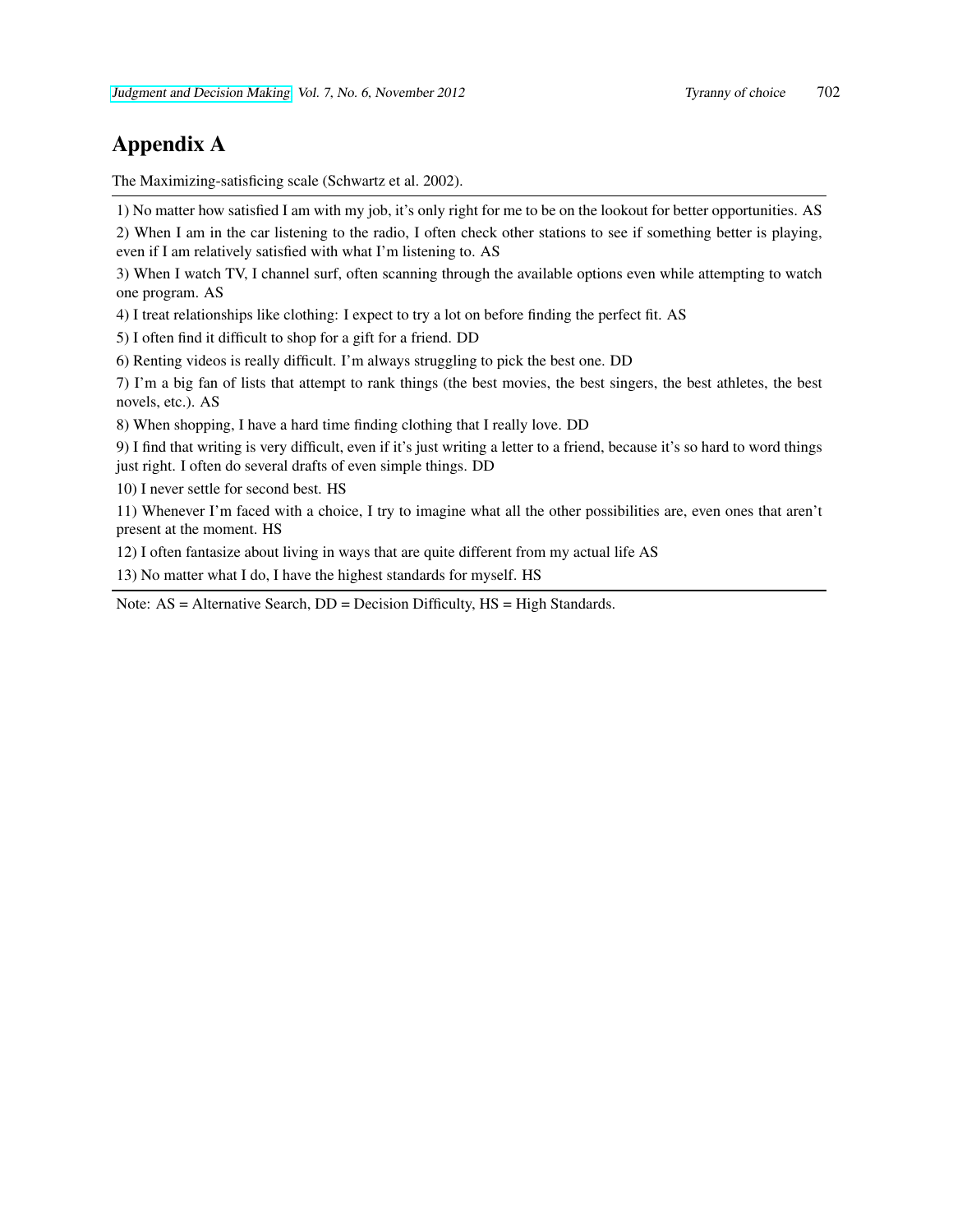# Appendix A

The Maximizing-satisficing scale (Schwartz et al. 2002).

1) No matter how satisfied I am with my job, it's only right for me to be on the lookout for better opportunities. AS

2) When I am in the car listening to the radio, I often check other stations to see if something better is playing, even if I am relatively satisfied with what I'm listening to. AS

3) When I watch TV, I channel surf, often scanning through the available options even while attempting to watch one program. AS

4) I treat relationships like clothing: I expect to try a lot on before finding the perfect fit. AS

5) I often find it difficult to shop for a gift for a friend. DD

6) Renting videos is really difficult. I'm always struggling to pick the best one. DD

7) I'm a big fan of lists that attempt to rank things (the best movies, the best singers, the best athletes, the best novels, etc.). AS

8) When shopping, I have a hard time finding clothing that I really love. DD

9) I find that writing is very difficult, even if it's just writing a letter to a friend, because it's so hard to word things just right. I often do several drafts of even simple things. DD

10) I never settle for second best. HS

11) Whenever I'm faced with a choice, I try to imagine what all the other possibilities are, even ones that aren't present at the moment. HS

12) I often fantasize about living in ways that are quite different from my actual life AS

13) No matter what I do, I have the highest standards for myself. HS

Note: AS = Alternative Search, DD = Decision Difficulty, HS = High Standards.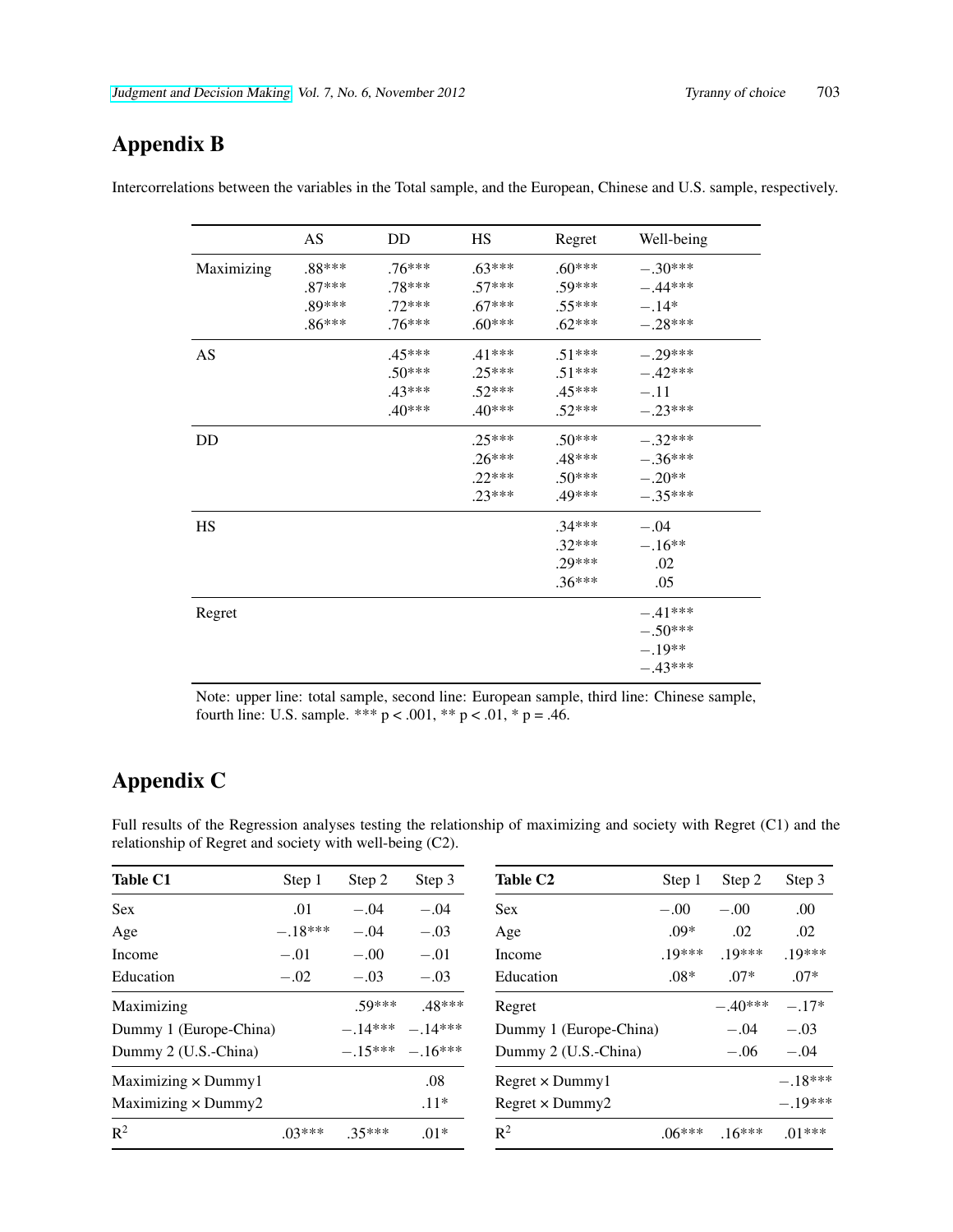# Appendix B

|            | AS       | DD       | <b>HS</b> | Regret   | Well-being |
|------------|----------|----------|-----------|----------|------------|
| Maximizing | $.88***$ | $.76***$ | $.63***$  | $.60***$ | $-.30***$  |
|            | $.87***$ | .78***   | $.57***$  | .59***   | $-.44***$  |
|            | $.89***$ | $.72***$ | $.67***$  | $.55***$ | $-.14*$    |
|            | $.86***$ | $.76***$ | $.60***$  | $.62***$ | $-.28***$  |
| AS         |          | .45***   | $.41***$  | $.51***$ | $-.29***$  |
|            |          | $.50***$ | $.25***$  | $.51***$ | $-.42***$  |
|            |          | .43***   | $.52***$  | $.45***$ | $-.11$     |
|            |          | $.40***$ | $.40***$  | $.52***$ | $-.23***$  |
| DD         |          |          | $.25***$  | $.50***$ | $-.32***$  |
|            |          |          | $.26***$  | .48***   | $-.36***$  |
|            |          |          | $.22***$  | $.50***$ | $-.20**$   |
|            |          |          | $.23***$  | .49***   | $-.35***$  |
| <b>HS</b>  |          |          |           | $.34***$ | $-.04$     |
|            |          |          |           | $.32***$ | $-.16**$   |
|            |          |          |           | $.29***$ | .02        |
|            |          |          |           | $.36***$ | .05        |
| Regret     |          |          |           |          | $-.41***$  |
|            |          |          |           |          | $-.50***$  |
|            |          |          |           |          | $-.19**$   |
|            |          |          |           |          | $-.43***$  |

Intercorrelations between the variables in the Total sample, and the European, Chinese and U.S. sample, respectively.

Note: upper line: total sample, second line: European sample, third line: Chinese sample, fourth line: U.S. sample. \*\*\*  $p < .001$ , \*\*  $p < .01$ , \*  $p = .46$ .

# Appendix C

Full results of the Regression analyses testing the relationship of maximizing and society with Regret (C1) and the relationship of Regret and society with well-being (C2).

| <b>Table C1</b>            | Step 1    | Step 2    | Step 3           | <b>Table C2</b>        | Step 1   | Step 2    | Step 3    |
|----------------------------|-----------|-----------|------------------|------------------------|----------|-----------|-----------|
| <b>Sex</b>                 | .01       | $-.04$    | $-.04$           | <b>Sex</b>             | $-.00$   | $-.00$    | .00       |
| Age                        | $-.18***$ | $-.04$    | $-.03$           | Age                    | $.09*$   | .02       | .02       |
| Income                     | $-.01$    | $-.00$    | $-.01$           | Income                 | $.19***$ | $.19***$  | $.19***$  |
| Education                  | $-.02$    | $-.03$    | $-.03$           | Education              | $.08*$   | $.07*$    | $.07*$    |
| Maximizing                 |           | $50***$   | .48***           | Regret                 |          | $-.40***$ | $-.17*$   |
| Dummy 1 (Europe-China)     |           | $-.14***$ | $-.14***$        | Dummy 1 (Europe-China) |          | $-.04$    | $-.03$    |
| Dummy 2 (U.S.-China)       |           |           | $-15*** - 16***$ | Dummy 2 (U.S.-China)   |          | $-.06$    | $-.04$    |
| Maximizing $\times$ Dummy1 |           |           | .08              | $Regret \times Dummy1$ |          |           | $-.18***$ |
| Maximizing $\times$ Dummy2 |           |           | $.11*$           | $Regret \times Dummy2$ |          |           | $-.19***$ |
| $R^2$                      | $.03***$  | $.35***$  | $.01*$           | $\mathbb{R}^2$         | $.06***$ | $.16***$  | $.01***$  |